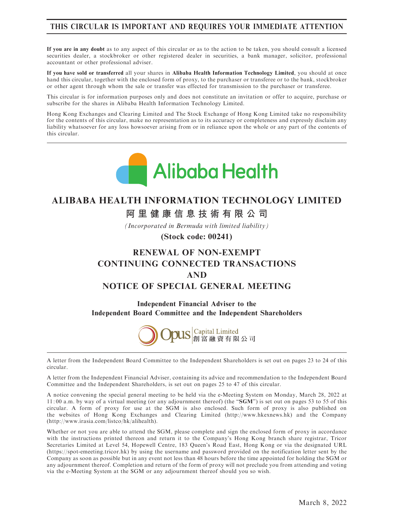## THIS CIRCULAR IS IMPORTANT AND REQUIRES YOUR IMMEDIATE ATTENTION

If you are in any doubt as to any aspect of this circular or as to the action to be taken, you should consult a licensed securities dealer, a stockbroker or other registered dealer in securities, a bank manager, solicitor, professional accountant or other professional adviser.

If you have sold or transferred all your shares in Alibaba Health Information Technology Limited, you should at once hand this circular, together with the enclosed form of proxy, to the purchaser or transferee or to the bank, stockbroker or other agent through whom the sale or transfer was effected for transmission to the purchaser or transferee.

This circular is for information purposes only and does not constitute an invitation or offer to acquire, purchase or subscribe for the shares in Alibaba Health Information Technology Limited.

Hong Kong Exchanges and Clearing Limited and The Stock Exchange of Hong Kong Limited take no responsibility for the contents of this circular, make no representation as to its accuracy or completeness and expressly disclaim any liability whatsoever for any loss howsoever arising from or in reliance upon the whole or any part of the contents of this circular.



# **ALIBABA HEALTH INFORMATION TECHNOLOGY LIMITED**

**阿里健康信息技術有限公司**

*(Incorporated in Bermuda with limited liability)*

**(Stock code: 00241)**

# RENEWAL OF NON-EXEMPT CONTINUING CONNECTED TRANSACTIONS AND NOTICE OF SPECIAL GENERAL MEETING

Independent Financial Adviser to the Independent Board Committee and the Independent Shareholders



A letter from the Independent Board Committee to the Independent Shareholders is set out on pages 23 to 24 of this circular.

A letter from the Independent Financial Adviser, containing its advice and recommendation to the Independent Board Committee and the Independent Shareholders, is set out on pages 25 to 47 of this circular.

A notice convening the special general meeting to be held via the e-Meeting System on Monday, March 28, 2022 at  $11:00$  a.m. by way of a virtual meeting (or any adjournment thereof) (the "SGM") is set out on pages 53 to 55 of this circular. A form of proxy for use at the SGM is also enclosed. Such form of proxy is also published on the websites of Hong Kong Exchanges and Clearing Limited (http://www.hkexnews.hk) and the Company (http://www.irasia.com/listco/hk/alihealth).

Whether or not you are able to attend the SGM, please complete and sign the enclosed form of proxy in accordance with the instructions printed thereon and return it to the Company's Hong Kong branch share registrar, Tricor Secretaries Limited at Level 54, Hopewell Centre, 183 Queen's Road East, Hong Kong or via the designated URL (https://spot-emeeting.tricor.hk) by using the username and password provided on the notification letter sent by the Company as soon as possible but in any event not less than 48 hours before the time appointed for holding the SGM or any adjournment thereof. Completion and return of the form of proxy will not preclude you from attending and voting via the e-Meeting System at the SGM or any adjournment thereof should you so wish.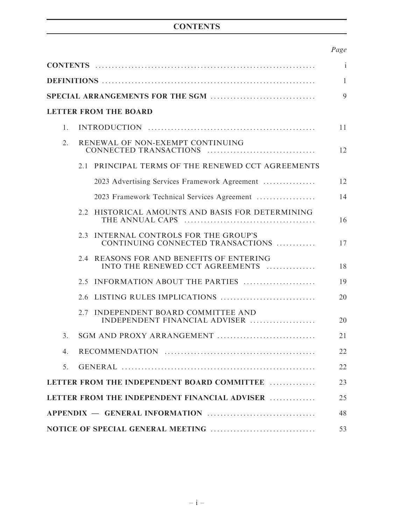# **CONTENTS**

# Page

| $\mathbf{i}$   |  |                                                                             |    |  |
|----------------|--|-----------------------------------------------------------------------------|----|--|
|                |  |                                                                             |    |  |
|                |  |                                                                             | 9  |  |
|                |  | <b>LETTER FROM THE BOARD</b>                                                |    |  |
| $\mathbf{1}$ . |  |                                                                             | 11 |  |
| 2.             |  | RENEWAL OF NON-EXEMPT CONTINUING                                            | 12 |  |
|                |  | 2.1 PRINCIPAL TERMS OF THE RENEWED CCT AGREEMENTS                           |    |  |
|                |  | 2023 Advertising Services Framework Agreement                               | 12 |  |
|                |  | 2023 Framework Technical Services Agreement                                 | 14 |  |
|                |  | 2.2 HISTORICAL AMOUNTS AND BASIS FOR DETERMINING                            | 16 |  |
|                |  | 2.3 INTERNAL CONTROLS FOR THE GROUP'S<br>CONTINUING CONNECTED TRANSACTIONS  | 17 |  |
|                |  | 2.4 REASONS FOR AND BENEFITS OF ENTERING<br>INTO THE RENEWED CCT AGREEMENTS | 18 |  |
|                |  | 2.5 INFORMATION ABOUT THE PARTIES                                           | 19 |  |
|                |  |                                                                             | 20 |  |
|                |  | 2.7 INDEPENDENT BOARD COMMITTEE AND<br>INDEPENDENT FINANCIAL ADVISER        | 20 |  |
| 3.             |  |                                                                             | 21 |  |
|                |  |                                                                             | 22 |  |
| 5 <sub>1</sub> |  |                                                                             | 22 |  |
|                |  | LETTER FROM THE INDEPENDENT BOARD COMMITTEE                                 | 23 |  |
|                |  | LETTER FROM THE INDEPENDENT FINANCIAL ADVISER                               | 25 |  |
| 48             |  |                                                                             |    |  |
| 53             |  |                                                                             |    |  |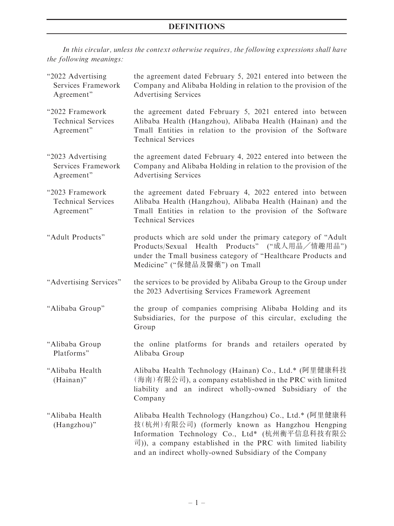In this circular, unless the context otherwise requires, the following expressions shall have the following meanings:

| "2022 Advertising<br>Services Framework<br>Agreement"      | the agreement dated February 5, 2021 entered into between the<br>Company and Alibaba Holding in relation to the provision of the<br><b>Advertising Services</b>                                                                                                                      |
|------------------------------------------------------------|--------------------------------------------------------------------------------------------------------------------------------------------------------------------------------------------------------------------------------------------------------------------------------------|
| "2022 Framework<br><b>Technical Services</b><br>Agreement" | the agreement dated February 5, 2021 entered into between<br>Alibaba Health (Hangzhou), Alibaba Health (Hainan) and the<br>Tmall Entities in relation to the provision of the Software<br><b>Technical Services</b>                                                                  |
| "2023 Advertising<br>Services Framework<br>Agreement"      | the agreement dated February 4, 2022 entered into between the<br>Company and Alibaba Holding in relation to the provision of the<br><b>Advertising Services</b>                                                                                                                      |
| "2023 Framework<br><b>Technical Services</b><br>Agreement" | the agreement dated February 4, 2022 entered into between<br>Alibaba Health (Hangzhou), Alibaba Health (Hainan) and the<br>Tmall Entities in relation to the provision of the Software<br><b>Technical Services</b>                                                                  |
| "Adult Products"                                           | products which are sold under the primary category of "Adult"<br>Products/Sexual Health Products" ("成人用品/情趣用品")<br>under the Tmall business category of "Healthcare Products and<br>Medicine" ("保健品及醫藥") on Tmall                                                                    |
| "Advertising Services"                                     | the services to be provided by Alibaba Group to the Group under<br>the 2023 Advertising Services Framework Agreement                                                                                                                                                                 |
| "Alibaba Group"                                            | the group of companies comprising Alibaba Holding and its<br>Subsidiaries, for the purpose of this circular, excluding the<br>Group                                                                                                                                                  |
| "Alibaba Group<br>Platforms"                               | the online platforms for brands and retailers operated by<br>Alibaba Group                                                                                                                                                                                                           |
| "Alibaba Health<br>(Hainan)"                               | Alibaba Health Technology (Hainan) Co., Ltd.* (阿里健康科技<br>(海南)有限公司), a company established in the PRC with limited<br>liability and an indirect wholly-owned Subsidiary of the<br>Company                                                                                             |
| "Alibaba Health<br>(Hangzhou)"                             | Alibaba Health Technology (Hangzhou) Co., Ltd.* (阿里健康科<br>技(杭州)有限公司) (formerly known as Hangzhou Hengping<br>Information Technology Co., Ltd* (杭州衡平信息科技有限公<br>司)), a company established in the PRC with limited liability<br>and an indirect wholly-owned Subsidiary of the Company |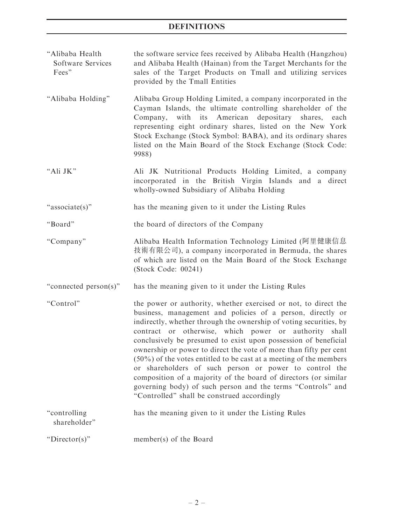- ''Alibaba Health Software Services Fees'' the software service fees received by Alibaba Health (Hangzhou) and Alibaba Health (Hainan) from the Target Merchants for the sales of the Target Products on Tmall and utilizing services provided by the Tmall Entities ''Alibaba Holding'' Alibaba Group Holding Limited, a company incorporated in the Cayman Islands, the ultimate controlling shareholder of the Company, with its American depositary shares, each representing eight ordinary shares, listed on the New York Stock Exchange (Stock Symbol: BABA), and its ordinary shares listed on the Main Board of the Stock Exchange (Stock Code: 9988) "Ali JK" Ali JK Nutritional Products Holding Limited, a company incorporated in the British Virgin Islands and a direct wholly-owned Subsidiary of Alibaba Holding ''associate(s)'' has the meaning given to it under the Listing Rules ''Board'' the board of directors of the Company ''Company'' Alibaba Health Information Technology Limited (阿里健康信息 技術有限公司), a company incorporated in Bermuda, the shares of which are listed on the Main Board of the Stock Exchange (Stock Code: 00241) ''connected person(s)'' has the meaning given to it under the Listing Rules
- ''Control'' the power or authority, whether exercised or not, to direct the business, management and policies of a person, directly or indirectly, whether through the ownership of voting securities, by contract or otherwise, which power or authority shall conclusively be presumed to exist upon possession of beneficial ownership or power to direct the vote of more than fifty per cent (50%) of the votes entitled to be cast at a meeting of the members or shareholders of such person or power to control the composition of a majority of the board of directors (or similar governing body) of such person and the terms ''Controls'' and ''Controlled'' shall be construed accordingly

| "controlling"<br>shareholder" | has the meaning given to it under the Listing Rules |
|-------------------------------|-----------------------------------------------------|
| "Director(s)"                 | member(s) of the Board                              |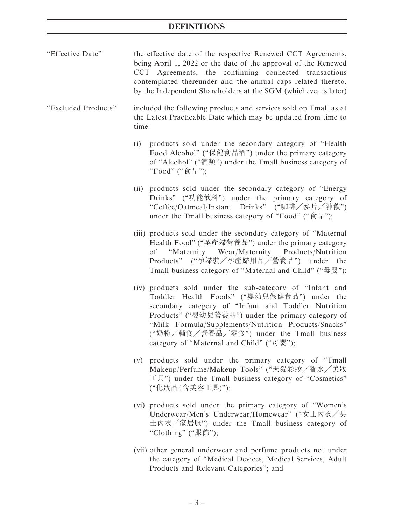| "Effective Date"    | the effective date of the respective Renewed CCT Agreements,<br>being April 1, 2022 or the date of the approval of the Renewed<br>CCT Agreements, the continuing connected transactions<br>contemplated thereunder and the annual caps related thereto,<br>by the Independent Shareholders at the SGM (whichever is later)                                            |  |  |  |
|---------------------|-----------------------------------------------------------------------------------------------------------------------------------------------------------------------------------------------------------------------------------------------------------------------------------------------------------------------------------------------------------------------|--|--|--|
| "Excluded Products" | included the following products and services sold on Tmall as at<br>the Latest Practicable Date which may be updated from time to<br>time:                                                                                                                                                                                                                            |  |  |  |
|                     | products sold under the secondary category of "Health<br>(i)<br>Food Alcohol" ("保健食品酒") under the primary category<br>of "Alcohol" ("酒類") under the Tmall business category of<br>"Food" ("食品");                                                                                                                                                                      |  |  |  |
|                     | (ii) products sold under the secondary category of "Energy<br>Drinks" ("功能飲料") under the primary category of<br>"Coffee/Oatmeal/Instant Drinks" ("咖啡/麥片/沖飲")<br>under the Tmall business category of "Food" ("食品");                                                                                                                                                   |  |  |  |
|                     | (iii) products sold under the secondary category of "Maternal<br>Health Food" ("孕產婦營養品") under the primary category<br>of "Maternity Wear/Maternity Products/Nutrition<br>Products" ("孕婦裝/孕產婦用品/營養品") under the<br>Tmall business category of "Maternal and Child" ("母嬰");                                                                                            |  |  |  |
|                     | (iv) products sold under the sub-category of "Infant and<br>Toddler Health Foods" ("嬰幼兒保健食品") under the<br>secondary category of "Infant and Toddler Nutrition<br>Products" ("嬰幼兒營養品") under the primary category of<br>"Milk Formula/Supplements/Nutrition Products/Snacks"<br>("奶粉/輔食/營養品/零食") under the Tmall business<br>category of "Maternal and Child" ("母嬰"); |  |  |  |
|                     | (v) products sold under the primary category of "Tmall<br>Makeup/Perfume/Makeup Tools" ("天猫彩妝/香水/美妝<br>工具") under the Tmall business category of "Cosmetics"<br>("化妝品(含美容工具)");                                                                                                                                                                                       |  |  |  |
|                     | (vi) products sold under the primary category of "Women's<br>Underwear/Men's Underwear/Homewear" ("女士內衣/男<br>士內衣/家居服") under the Tmall business category of<br>"Clothing" ("服飾");                                                                                                                                                                                     |  |  |  |
|                     | (vii) other general underwear and perfume products not under                                                                                                                                                                                                                                                                                                          |  |  |  |

the category of ''Medical Devices, Medical Services, Adult Products and Relevant Categories''; and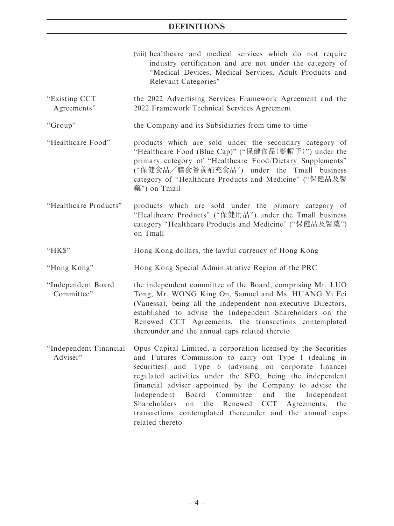|                                  | (viii) healthcare and medical services which do not require<br>industry certification and are not under the category of<br>"Medical Devices, Medical Services, Adult Products and<br>Relevant Categories"                                                                                                                                                                                                                                                                                                                                                    |  |  |
|----------------------------------|--------------------------------------------------------------------------------------------------------------------------------------------------------------------------------------------------------------------------------------------------------------------------------------------------------------------------------------------------------------------------------------------------------------------------------------------------------------------------------------------------------------------------------------------------------------|--|--|
| "Existing CCT<br>Agreements"     | the 2022 Advertising Services Framework Agreement and the<br>2022 Framework Technical Services Agreement                                                                                                                                                                                                                                                                                                                                                                                                                                                     |  |  |
| "Group"                          | the Company and its Subsidiaries from time to time                                                                                                                                                                                                                                                                                                                                                                                                                                                                                                           |  |  |
| "Healthcare Food"                | products which are sold under the secondary category of<br>"Healthcare Food (Blue Cap)" ("保健食品(藍帽子)") under the<br>primary category of "Healthcare Food/Dietary Supplements"<br>("保健食品/膳食營養補充食品") under the Tmall business<br>category of "Healthcare Products and Medicine" ("保健品及醫<br>藥") on Tmall                                                                                                                                                                                                                                                         |  |  |
| "Healthcare Products"            | products which are sold under the primary category of<br>"Healthcare Products" ("保健用品") under the Tmall business<br>category "Healthcare Products and Medicine" ("保健品及醫藥")<br>on Tmall                                                                                                                                                                                                                                                                                                                                                                       |  |  |
| "HK\$"                           | Hong Kong dollars, the lawful currency of Hong Kong                                                                                                                                                                                                                                                                                                                                                                                                                                                                                                          |  |  |
| "Hong Kong"                      | Hong Kong Special Administrative Region of the PRC                                                                                                                                                                                                                                                                                                                                                                                                                                                                                                           |  |  |
| "Independent Board<br>Committee" | the independent committee of the Board, comprising Mr. LUO<br>Tong, Mr. WONG King On, Samuel and Ms. HUANG Yi Fei<br>(Vanessa), being all the independent non-executive Directors,<br>established to advise the Independent Shareholders on the<br>Renewed CCT Agreements, the transactions contemplated<br>thereunder and the annual caps related thereto                                                                                                                                                                                                   |  |  |
| Adviser"                         | "Independent Financial Opus Capital Limited, a corporation licensed by the Securities<br>and Futures Commission to carry out Type 1 (dealing in<br>securities) and Type 6 (advising on corporate finance)<br>regulated activities under the SFO, being the independent<br>financial adviser appointed by the Company to advise the<br>Independent<br>Board Committee<br>and<br>the<br>Independent<br>Shareholders<br>the<br>Renewed<br><b>CCT</b><br>Agreements,<br>on<br>the<br>transactions contemplated thereunder and the annual caps<br>related thereto |  |  |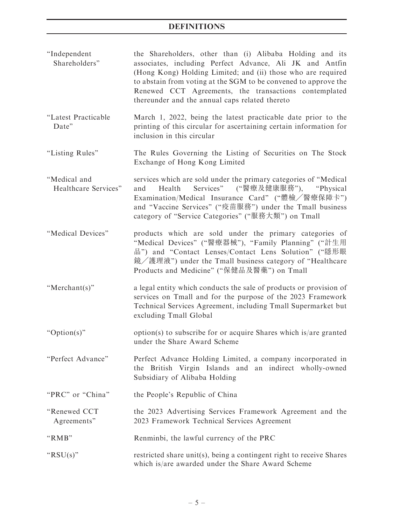- ''Independent Shareholders'' the Shareholders, other than (i) Alibaba Holding and its associates, including Perfect Advance, Ali JK and Antfin (Hong Kong) Holding Limited; and (ii) those who are required to abstain from voting at the SGM to be convened to approve the Renewed CCT Agreements, the transactions contemplated thereunder and the annual caps related thereto
- ''Latest Practicable Date'' March 1, 2022, being the latest practicable date prior to the printing of this circular for ascertaining certain information for inclusion in this circular
- ''Listing Rules'' The Rules Governing the Listing of Securities on The Stock Exchange of Hong Kong Limited
- ''Medical and Healthcare Services'' services which are sold under the primary categories of ''Medical and Health Services" ("醫療及健康服務"), "Physical Examination/Medical Insurance Card" ("體檢/醫療保障卡") and ''Vaccine Services'' (''疫苗服務'') under the Tmall business category of ''Service Categories'' (''服務大類'') on Tmall
- ''Medical Devices'' products which are sold under the primary categories of ''Medical Devices'' (''醫療器械''), ''Family Planning'' (''計生用 品") and "Contact Lenses/Contact Lens Solution" ("隱形眼 鏡╱護理液'') under the Tmall business category of ''Healthcare Products and Medicine" ("保健品及醫藥") on Tmall
- ''Merchant(s)'' a legal entity which conducts the sale of products or provision of services on Tmall and for the purpose of the 2023 Framework Technical Services Agreement, including Tmall Supermarket but excluding Tmall Global
- ''Option(s)'' option(s) to subscribe for or acquire Shares which is/are granted under the Share Award Scheme
- ''Perfect Advance'' Perfect Advance Holding Limited, a company incorporated in the British Virgin Islands and an indirect wholly-owned Subsidiary of Alibaba Holding
- "PRC" or "China" the People's Republic of China
- ''Renewed CCT Agreements'' the 2023 Advertising Services Framework Agreement and the 2023 Framework Technical Services Agreement
- ''RMB'' Renminbi, the lawful currency of the PRC
- " $RSU(s)$ " restricted share unit(s), being a contingent right to receive Shares which is/are awarded under the Share Award Scheme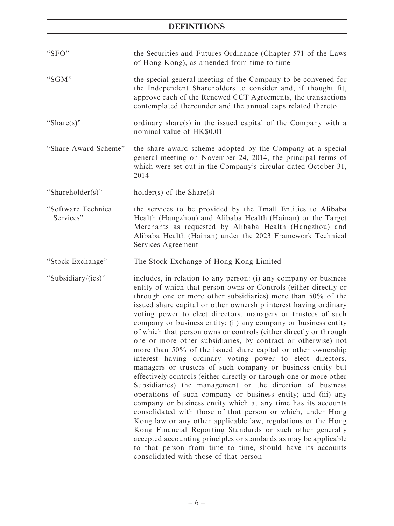| "SFO"                            | the Securities and Futures Ordinance (Chapter 571 of the Laws<br>of Hong Kong), as amended from time to time                                                                                                                                                                                                                                                                                                                                                                                                                                                                                                                                                                                                                                                                                                                                                                                                                                                                                                                                                                                                                                                                                                                                                                                                                                                                                 |
|----------------------------------|----------------------------------------------------------------------------------------------------------------------------------------------------------------------------------------------------------------------------------------------------------------------------------------------------------------------------------------------------------------------------------------------------------------------------------------------------------------------------------------------------------------------------------------------------------------------------------------------------------------------------------------------------------------------------------------------------------------------------------------------------------------------------------------------------------------------------------------------------------------------------------------------------------------------------------------------------------------------------------------------------------------------------------------------------------------------------------------------------------------------------------------------------------------------------------------------------------------------------------------------------------------------------------------------------------------------------------------------------------------------------------------------|
| "SGM"                            | the special general meeting of the Company to be convened for<br>the Independent Shareholders to consider and, if thought fit,<br>approve each of the Renewed CCT Agreements, the transactions<br>contemplated thereunder and the annual caps related thereto                                                                                                                                                                                                                                                                                                                                                                                                                                                                                                                                                                                                                                                                                                                                                                                                                                                                                                                                                                                                                                                                                                                                |
| "Share(s)"                       | ordinary share(s) in the issued capital of the Company with a<br>nominal value of HK\$0.01                                                                                                                                                                                                                                                                                                                                                                                                                                                                                                                                                                                                                                                                                                                                                                                                                                                                                                                                                                                                                                                                                                                                                                                                                                                                                                   |
| "Share Award Scheme"             | the share award scheme adopted by the Company at a special<br>general meeting on November 24, 2014, the principal terms of<br>which were set out in the Company's circular dated October 31,<br>2014                                                                                                                                                                                                                                                                                                                                                                                                                                                                                                                                                                                                                                                                                                                                                                                                                                                                                                                                                                                                                                                                                                                                                                                         |
| "Shareholder(s)"                 | $holder(s)$ of the Share $(s)$                                                                                                                                                                                                                                                                                                                                                                                                                                                                                                                                                                                                                                                                                                                                                                                                                                                                                                                                                                                                                                                                                                                                                                                                                                                                                                                                                               |
| "Software Technical<br>Services" | the services to be provided by the Tmall Entities to Alibaba<br>Health (Hangzhou) and Alibaba Health (Hainan) or the Target<br>Merchants as requested by Alibaba Health (Hangzhou) and<br>Alibaba Health (Hainan) under the 2023 Framework Technical<br>Services Agreement                                                                                                                                                                                                                                                                                                                                                                                                                                                                                                                                                                                                                                                                                                                                                                                                                                                                                                                                                                                                                                                                                                                   |
| "Stock Exchange"                 | The Stock Exchange of Hong Kong Limited                                                                                                                                                                                                                                                                                                                                                                                                                                                                                                                                                                                                                                                                                                                                                                                                                                                                                                                                                                                                                                                                                                                                                                                                                                                                                                                                                      |
| "Subsidiary/(ies)"               | includes, in relation to any person: (i) any company or business<br>entity of which that person owns or Controls (either directly or<br>through one or more other subsidiaries) more than 50% of the<br>issued share capital or other ownership interest having ordinary<br>voting power to elect directors, managers or trustees of such<br>company or business entity; (ii) any company or business entity<br>of which that person owns or controls (either directly or through<br>one or more other subsidiaries, by contract or otherwise) not<br>more than 50% of the issued share capital or other ownership<br>interest having ordinary voting power to elect directors,<br>managers or trustees of such company or business entity but<br>effectively controls (either directly or through one or more other<br>Subsidiaries) the management or the direction of business<br>operations of such company or business entity; and (iii) any<br>company or business entity which at any time has its accounts<br>consolidated with those of that person or which, under Hong<br>Kong law or any other applicable law, regulations or the Hong<br>Kong Financial Reporting Standards or such other generally<br>accepted accounting principles or standards as may be applicable<br>to that person from time to time, should have its accounts<br>consolidated with those of that person |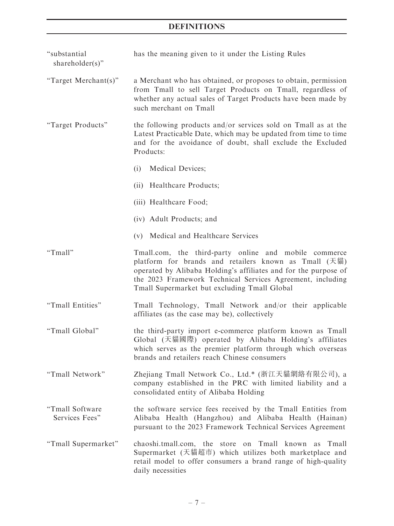| "substantial<br>shareholder(s)"   | has the meaning given to it under the Listing Rules                                                                                                                                                                                                                                                                                                  |  |  |  |  |
|-----------------------------------|------------------------------------------------------------------------------------------------------------------------------------------------------------------------------------------------------------------------------------------------------------------------------------------------------------------------------------------------------|--|--|--|--|
| "Target Merchant(s)"              | a Merchant who has obtained, or proposes to obtain, permission<br>from Tmall to sell Target Products on Tmall, regardless of<br>whether any actual sales of Target Products have been made by<br>such merchant on Tmall                                                                                                                              |  |  |  |  |
| "Target Products"                 | the following products and/or services sold on Tmall as at the<br>Latest Practicable Date, which may be updated from time to time<br>and for the avoidance of doubt, shall exclude the Excluded<br>Products:                                                                                                                                         |  |  |  |  |
|                                   | Medical Devices;<br>(i)                                                                                                                                                                                                                                                                                                                              |  |  |  |  |
|                                   | (ii) Healthcare Products;                                                                                                                                                                                                                                                                                                                            |  |  |  |  |
|                                   | (iii) Healthcare Food;                                                                                                                                                                                                                                                                                                                               |  |  |  |  |
|                                   | (iv) Adult Products; and                                                                                                                                                                                                                                                                                                                             |  |  |  |  |
|                                   | (v) Medical and Healthcare Services                                                                                                                                                                                                                                                                                                                  |  |  |  |  |
| "Tmall"                           | Tmall.com, the third-party online and mobile commerce<br>platform for brands and retailers known as Tmall $(\bar{\mathcal{F}}\ddot{\mathcal{F}}\ddot{\mathcal{F}})$<br>operated by Alibaba Holding's affiliates and for the purpose of<br>the 2023 Framework Technical Services Agreement, including<br>Tmall Supermarket but excluding Tmall Global |  |  |  |  |
| "Tmall Entities"                  | Tmall Technology, Tmall Network and/or their applicable<br>affiliates (as the case may be), collectively                                                                                                                                                                                                                                             |  |  |  |  |
| "Tmall Global"                    | the third-party import e-commerce platform known as Tmall<br>Global (天貓國際) operated by Alibaba Holding's affiliates<br>which serves as the premier platform through which overseas<br>brands and retailers reach Chinese consumers                                                                                                                   |  |  |  |  |
| "Tmall Network"                   | Zhejiang Tmall Network Co., Ltd.* (浙江天貓網絡有限公司), a<br>company established in the PRC with limited liability and a<br>consolidated entity of Alibaba Holding                                                                                                                                                                                           |  |  |  |  |
| "Tmall Software<br>Services Fees" | the software service fees received by the Tmall Entities from<br>Alibaba Health (Hangzhou) and Alibaba Health (Hainan)<br>pursuant to the 2023 Framework Technical Services Agreement                                                                                                                                                                |  |  |  |  |
| "Tmall Supermarket"               | chaoshi.tmall.com, the<br>Tmall<br>known as<br>store<br>Tmall<br>on<br>Supermarket (天貓超市) which utilizes both marketplace and<br>retail model to offer consumers a brand range of high-quality<br>daily necessities                                                                                                                                  |  |  |  |  |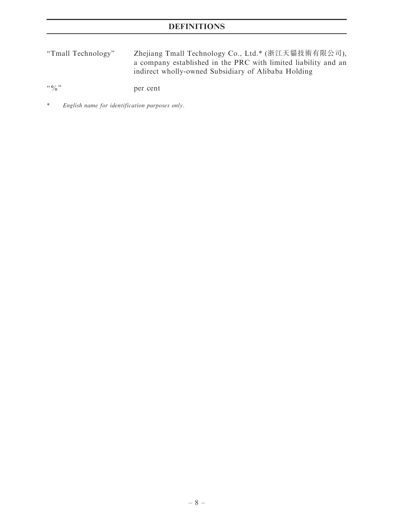''Tmall Technology'' Zhejiang Tmall Technology Co., Ltd.\* (浙江天貓技術有限公司), a company established in the PRC with limited liability and an indirect wholly-owned Subsidiary of Alibaba Holding

''%'' per cent

\* English name for identification purposes only.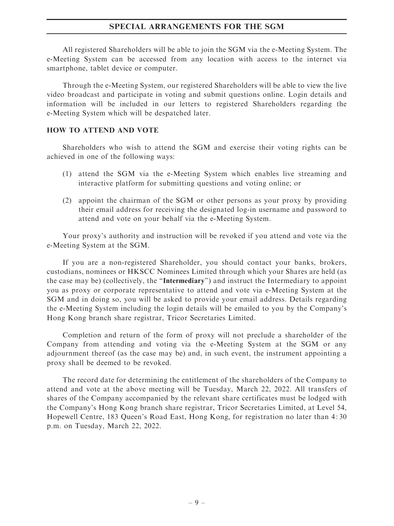#### SPECIAL ARRANGEMENTS FOR THE SGM

All registered Shareholders will be able to join the SGM via the e-Meeting System. The e-Meeting System can be accessed from any location with access to the internet via smartphone, tablet device or computer.

Through the e-Meeting System, our registered Shareholders will be able to view the live video broadcast and participate in voting and submit questions online. Login details and information will be included in our letters to registered Shareholders regarding the e-Meeting System which will be despatched later.

#### HOW TO ATTEND AND VOTE

Shareholders who wish to attend the SGM and exercise their voting rights can be achieved in one of the following ways:

- (1) attend the SGM via the e-Meeting System which enables live streaming and interactive platform for submitting questions and voting online; or
- (2) appoint the chairman of the SGM or other persons as your proxy by providing their email address for receiving the designated log-in username and password to attend and vote on your behalf via the e-Meeting System.

Your proxy's authority and instruction will be revoked if you attend and vote via the e-Meeting System at the SGM.

If you are a non-registered Shareholder, you should contact your banks, brokers, custodians, nominees or HKSCC Nominees Limited through which your Shares are held (as the case may be) (collectively, the ''Intermediary'') and instruct the Intermediary to appoint you as proxy or corporate representative to attend and vote via e-Meeting System at the SGM and in doing so, you will be asked to provide your email address. Details regarding the e-Meeting System including the login details will be emailed to you by the Company's Hong Kong branch share registrar, Tricor Secretaries Limited.

Completion and return of the form of proxy will not preclude a shareholder of the Company from attending and voting via the e-Meeting System at the SGM or any adjournment thereof (as the case may be) and, in such event, the instrument appointing a proxy shall be deemed to be revoked.

The record date for determining the entitlement of the shareholders of the Company to attend and vote at the above meeting will be Tuesday, March 22, 2022. All transfers of shares of the Company accompanied by the relevant share certificates must be lodged with the Company's Hong Kong branch share registrar, Tricor Secretaries Limited, at Level 54, Hopewell Centre, 183 Queen's Road East, Hong Kong, for registration no later than 4: 30 p.m. on Tuesday, March 22, 2022.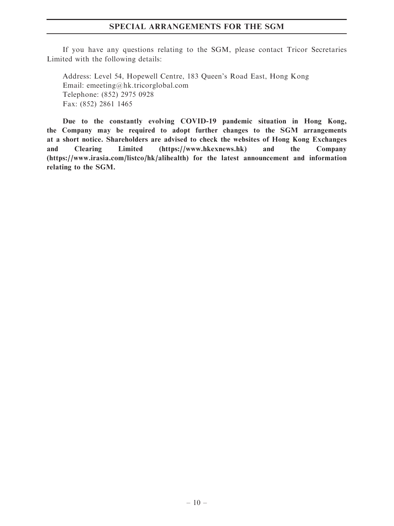#### SPECIAL ARRANGEMENTS FOR THE SGM

If you have any questions relating to the SGM, please contact Tricor Secretaries Limited with the following details:

Address: Level 54, Hopewell Centre, 183 Queen's Road East, Hong Kong Email: emeeting@hk.tricorglobal.com Telephone: (852) 2975 0928 Fax: (852) 2861 1465

Due to the constantly evolving COVID-19 pandemic situation in Hong Kong, the Company may be required to adopt further changes to the SGM arrangements at a short notice. Shareholders are advised to check the websites of Hong Kong Exchanges and Clearing Limited (https://www.hkexnews.hk) and the Company (https://www.irasia.com/listco/hk/alihealth) for the latest announcement and information relating to the SGM.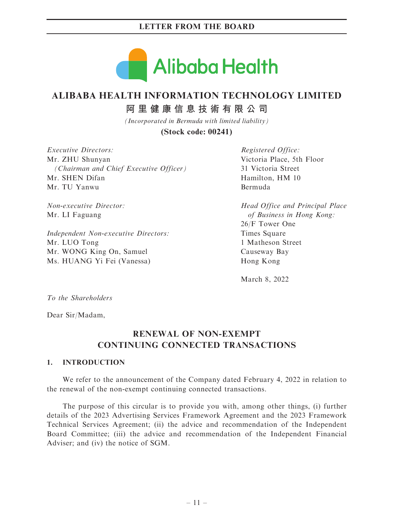

# **ALIBABA HEALTH INFORMATION TECHNOLOGY LIMITED**

**阿里健康信息技術有限公司**

*(Incorporated in Bermuda with limited liability)*

**(Stock code: 00241)**

Executive Directors: Mr. ZHU Shunyan (Chairman and Chief Executive Officer) Mr. SHEN Difan Mr. TU Yanwu

Non-executive Director: Mr. LI Faguang

Independent Non-executive Directors: Mr. LUO Tong Mr. WONG King On, Samuel Ms. HUANG Yi Fei (Vanessa)

Registered Office: Victoria Place, 5th Floor 31 Victoria Street Hamilton, HM 10 Bermuda

Head Office and Principal Place of Business in Hong Kong: 26/F Tower One Times Square 1 Matheson Street Causeway Bay Hong Kong

March 8, 2022

To the Shareholders

Dear Sir/Madam,

# RENEWAL OF NON-EXEMPT CONTINUING CONNECTED TRANSACTIONS

## 1. INTRODUCTION

We refer to the announcement of the Company dated February 4, 2022 in relation to the renewal of the non-exempt continuing connected transactions.

The purpose of this circular is to provide you with, among other things, (i) further details of the 2023 Advertising Services Framework Agreement and the 2023 Framework Technical Services Agreement; (ii) the advice and recommendation of the Independent Board Committee; (iii) the advice and recommendation of the Independent Financial Adviser; and (iv) the notice of SGM.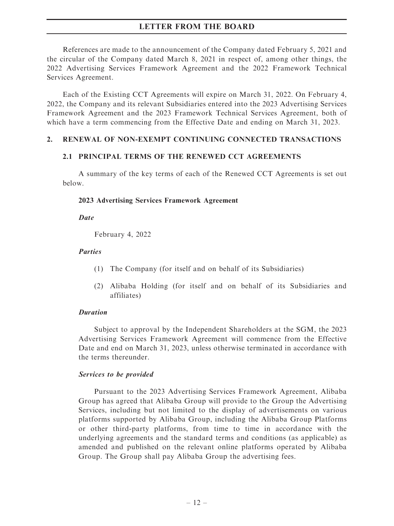References are made to the announcement of the Company dated February 5, 2021 and the circular of the Company dated March 8, 2021 in respect of, among other things, the 2022 Advertising Services Framework Agreement and the 2022 Framework Technical Services Agreement.

Each of the Existing CCT Agreements will expire on March 31, 2022. On February 4, 2022, the Company and its relevant Subsidiaries entered into the 2023 Advertising Services Framework Agreement and the 2023 Framework Technical Services Agreement, both of which have a term commencing from the Effective Date and ending on March 31, 2023.

#### 2. RENEWAL OF NON-EXEMPT CONTINUING CONNECTED TRANSACTIONS

#### 2.1 PRINCIPAL TERMS OF THE RENEWED CCT AGREEMENTS

A summary of the key terms of each of the Renewed CCT Agreements is set out below.

#### 2023 Advertising Services Framework Agreement

**Date** 

February 4, 2022

#### **Parties**

- (1) The Company (for itself and on behalf of its Subsidiaries)
- (2) Alibaba Holding (for itself and on behalf of its Subsidiaries and affiliates)

#### Duration

Subject to approval by the Independent Shareholders at the SGM, the 2023 Advertising Services Framework Agreement will commence from the Effective Date and end on March 31, 2023, unless otherwise terminated in accordance with the terms thereunder.

#### Services to be provided

Pursuant to the 2023 Advertising Services Framework Agreement, Alibaba Group has agreed that Alibaba Group will provide to the Group the Advertising Services, including but not limited to the display of advertisements on various platforms supported by Alibaba Group, including the Alibaba Group Platforms or other third-party platforms, from time to time in accordance with the underlying agreements and the standard terms and conditions (as applicable) as amended and published on the relevant online platforms operated by Alibaba Group. The Group shall pay Alibaba Group the advertising fees.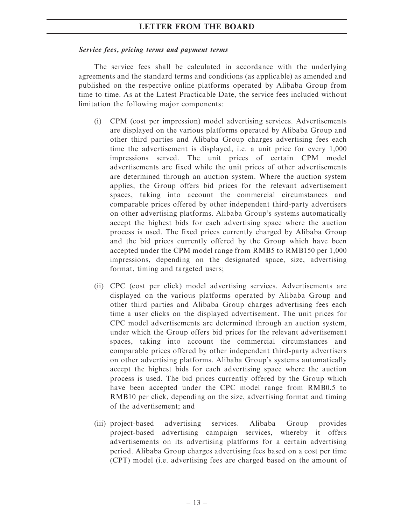#### Service fees, pricing terms and payment terms

The service fees shall be calculated in accordance with the underlying agreements and the standard terms and conditions (as applicable) as amended and published on the respective online platforms operated by Alibaba Group from time to time. As at the Latest Practicable Date, the service fees included without limitation the following major components:

- (i) CPM (cost per impression) model advertising services. Advertisements are displayed on the various platforms operated by Alibaba Group and other third parties and Alibaba Group charges advertising fees each time the advertisement is displayed, i.e. a unit price for every 1,000 impressions served. The unit prices of certain CPM model advertisements are fixed while the unit prices of other advertisements are determined through an auction system. Where the auction system applies, the Group offers bid prices for the relevant advertisement spaces, taking into account the commercial circumstances and comparable prices offered by other independent third-party advertisers on other advertising platforms. Alibaba Group's systems automatically accept the highest bids for each advertising space where the auction process is used. The fixed prices currently charged by Alibaba Group and the bid prices currently offered by the Group which have been accepted under the CPM model range from RMB5 to RMB150 per 1,000 impressions, depending on the designated space, size, advertising format, timing and targeted users;
- (ii) CPC (cost per click) model advertising services. Advertisements are displayed on the various platforms operated by Alibaba Group and other third parties and Alibaba Group charges advertising fees each time a user clicks on the displayed advertisement. The unit prices for CPC model advertisements are determined through an auction system, under which the Group offers bid prices for the relevant advertisement spaces, taking into account the commercial circumstances and comparable prices offered by other independent third-party advertisers on other advertising platforms. Alibaba Group's systems automatically accept the highest bids for each advertising space where the auction process is used. The bid prices currently offered by the Group which have been accepted under the CPC model range from RMB0.5 to RMB10 per click, depending on the size, advertising format and timing of the advertisement; and
- (iii) project-based advertising services. Alibaba Group provides project-based advertising campaign services, whereby it offers advertisements on its advertising platforms for a certain advertising period. Alibaba Group charges advertising fees based on a cost per time (CPT) model (i.e. advertising fees are charged based on the amount of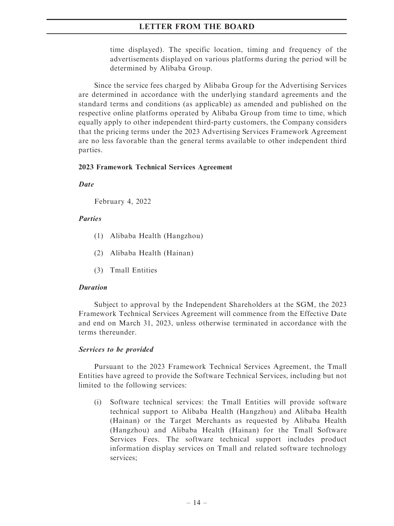time displayed). The specific location, timing and frequency of the advertisements displayed on various platforms during the period will be determined by Alibaba Group.

Since the service fees charged by Alibaba Group for the Advertising Services are determined in accordance with the underlying standard agreements and the standard terms and conditions (as applicable) as amended and published on the respective online platforms operated by Alibaba Group from time to time, which equally apply to other independent third-party customers, the Company considers that the pricing terms under the 2023 Advertising Services Framework Agreement are no less favorable than the general terms available to other independent third parties.

#### 2023 Framework Technical Services Agreement

**Date** 

February 4, 2022

#### Parties

- (1) Alibaba Health (Hangzhou)
- (2) Alibaba Health (Hainan)
- (3) Tmall Entities

#### Duration

Subject to approval by the Independent Shareholders at the SGM, the 2023 Framework Technical Services Agreement will commence from the Effective Date and end on March 31, 2023, unless otherwise terminated in accordance with the terms thereunder.

## Services to be provided

Pursuant to the 2023 Framework Technical Services Agreement, the Tmall Entities have agreed to provide the Software Technical Services, including but not limited to the following services:

(i) Software technical services: the Tmall Entities will provide software technical support to Alibaba Health (Hangzhou) and Alibaba Health (Hainan) or the Target Merchants as requested by Alibaba Health (Hangzhou) and Alibaba Health (Hainan) for the Tmall Software Services Fees. The software technical support includes product information display services on Tmall and related software technology services;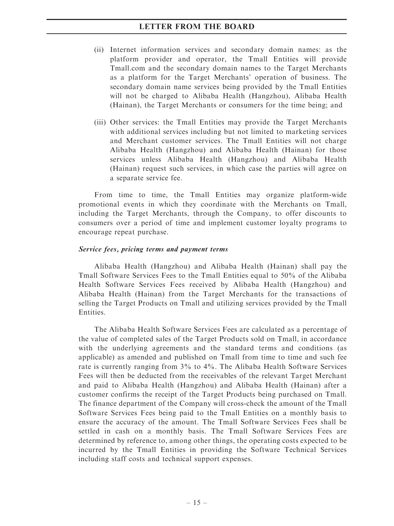- (ii) Internet information services and secondary domain names: as the platform provider and operator, the Tmall Entities will provide Tmall.com and the secondary domain names to the Target Merchants as a platform for the Target Merchants' operation of business. The secondary domain name services being provided by the Tmall Entities will not be charged to Alibaba Health (Hangzhou), Alibaba Health (Hainan), the Target Merchants or consumers for the time being; and
- (iii) Other services: the Tmall Entities may provide the Target Merchants with additional services including but not limited to marketing services and Merchant customer services. The Tmall Entities will not charge Alibaba Health (Hangzhou) and Alibaba Health (Hainan) for those services unless Alibaba Health (Hangzhou) and Alibaba Health (Hainan) request such services, in which case the parties will agree on a separate service fee.

From time to time, the Tmall Entities may organize platform-wide promotional events in which they coordinate with the Merchants on Tmall, including the Target Merchants, through the Company, to offer discounts to consumers over a period of time and implement customer loyalty programs to encourage repeat purchase.

#### Service fees, pricing terms and payment terms

Alibaba Health (Hangzhou) and Alibaba Health (Hainan) shall pay the Tmall Software Services Fees to the Tmall Entities equal to 50% of the Alibaba Health Software Services Fees received by Alibaba Health (Hangzhou) and Alibaba Health (Hainan) from the Target Merchants for the transactions of selling the Target Products on Tmall and utilizing services provided by the Tmall Entities.

The Alibaba Health Software Services Fees are calculated as a percentage of the value of completed sales of the Target Products sold on Tmall, in accordance with the underlying agreements and the standard terms and conditions (as applicable) as amended and published on Tmall from time to time and such fee rate is currently ranging from 3% to 4%. The Alibaba Health Software Services Fees will then be deducted from the receivables of the relevant Target Merchant and paid to Alibaba Health (Hangzhou) and Alibaba Health (Hainan) after a customer confirms the receipt of the Target Products being purchased on Tmall. The finance department of the Company will cross-check the amount of the Tmall Software Services Fees being paid to the Tmall Entities on a monthly basis to ensure the accuracy of the amount. The Tmall Software Services Fees shall be settled in cash on a monthly basis. The Tmall Software Services Fees are determined by reference to, among other things, the operating costs expected to be incurred by the Tmall Entities in providing the Software Technical Services including staff costs and technical support expenses.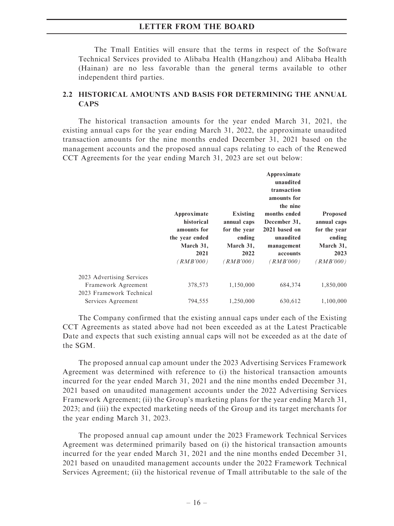The Tmall Entities will ensure that the terms in respect of the Software Technical Services provided to Alibaba Health (Hangzhou) and Alibaba Health (Hainan) are no less favorable than the general terms available to other independent third parties.

## 2.2 HISTORICAL AMOUNTS AND BASIS FOR DETERMINING THE ANNUAL **CAPS**

The historical transaction amounts for the year ended March 31, 2021, the existing annual caps for the year ending March 31, 2022, the approximate unaudited transaction amounts for the nine months ended December 31, 2021 based on the management accounts and the proposed annual caps relating to each of the Renewed CCT Agreements for the year ending March 31, 2023 are set out below:

|                                                                              | Approximate<br>historical<br>amounts for<br>the year ended<br>March 31,<br>2021<br>(RMB'000) | Existing<br>annual caps<br>for the year<br>ending<br>March 31,<br>2022<br>( <i>RMB'000</i> ) | Approximate<br>unaudited<br>transaction<br>amounts for<br>the nine<br>months ended<br>December 31,<br>2021 based on<br>unaudited<br>management<br>accounts<br>(RMB'000) | Proposed<br>annual caps<br>for the year<br>ending<br>March 31,<br>2023<br>(RMB'000) |
|------------------------------------------------------------------------------|----------------------------------------------------------------------------------------------|----------------------------------------------------------------------------------------------|-------------------------------------------------------------------------------------------------------------------------------------------------------------------------|-------------------------------------------------------------------------------------|
| 2023 Advertising Services<br>Framework Agreement<br>2023 Framework Technical | 378,573                                                                                      | 1,150,000                                                                                    | 684,374                                                                                                                                                                 | 1,850,000                                                                           |
| Services Agreement                                                           | 794,555                                                                                      | 1,250,000                                                                                    | 630,612                                                                                                                                                                 | 1,100,000                                                                           |

The Company confirmed that the existing annual caps under each of the Existing CCT Agreements as stated above had not been exceeded as at the Latest Practicable Date and expects that such existing annual caps will not be exceeded as at the date of the SGM.

The proposed annual cap amount under the 2023 Advertising Services Framework Agreement was determined with reference to (i) the historical transaction amounts incurred for the year ended March 31, 2021 and the nine months ended December 31, 2021 based on unaudited management accounts under the 2022 Advertising Services Framework Agreement; (ii) the Group's marketing plans for the year ending March 31, 2023; and (iii) the expected marketing needs of the Group and its target merchants for the year ending March 31, 2023.

The proposed annual cap amount under the 2023 Framework Technical Services Agreement was determined primarily based on (i) the historical transaction amounts incurred for the year ended March 31, 2021 and the nine months ended December 31, 2021 based on unaudited management accounts under the 2022 Framework Technical Services Agreement; (ii) the historical revenue of Tmall attributable to the sale of the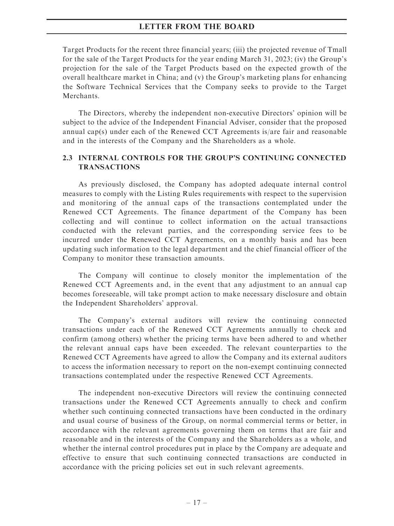Target Products for the recent three financial years; (iii) the projected revenue of Tmall for the sale of the Target Products for the year ending March 31, 2023; (iv) the Group's projection for the sale of the Target Products based on the expected growth of the overall healthcare market in China; and (v) the Group's marketing plans for enhancing the Software Technical Services that the Company seeks to provide to the Target Merchants.

The Directors, whereby the independent non-executive Directors' opinion will be subject to the advice of the Independent Financial Adviser, consider that the proposed annual cap(s) under each of the Renewed CCT Agreements is/are fair and reasonable and in the interests of the Company and the Shareholders as a whole.

## 2.3 INTERNAL CONTROLS FOR THE GROUP'S CONTINUING CONNECTED TRANSACTIONS

As previously disclosed, the Company has adopted adequate internal control measures to comply with the Listing Rules requirements with respect to the supervision and monitoring of the annual caps of the transactions contemplated under the Renewed CCT Agreements. The finance department of the Company has been collecting and will continue to collect information on the actual transactions conducted with the relevant parties, and the corresponding service fees to be incurred under the Renewed CCT Agreements, on a monthly basis and has been updating such information to the legal department and the chief financial officer of the Company to monitor these transaction amounts.

The Company will continue to closely monitor the implementation of the Renewed CCT Agreements and, in the event that any adjustment to an annual cap becomes foreseeable, will take prompt action to make necessary disclosure and obtain the Independent Shareholders' approval.

The Company's external auditors will review the continuing connected transactions under each of the Renewed CCT Agreements annually to check and confirm (among others) whether the pricing terms have been adhered to and whether the relevant annual caps have been exceeded. The relevant counterparties to the Renewed CCT Agreements have agreed to allow the Company and its external auditors to access the information necessary to report on the non-exempt continuing connected transactions contemplated under the respective Renewed CCT Agreements.

The independent non-executive Directors will review the continuing connected transactions under the Renewed CCT Agreements annually to check and confirm whether such continuing connected transactions have been conducted in the ordinary and usual course of business of the Group, on normal commercial terms or better, in accordance with the relevant agreements governing them on terms that are fair and reasonable and in the interests of the Company and the Shareholders as a whole, and whether the internal control procedures put in place by the Company are adequate and effective to ensure that such continuing connected transactions are conducted in accordance with the pricing policies set out in such relevant agreements.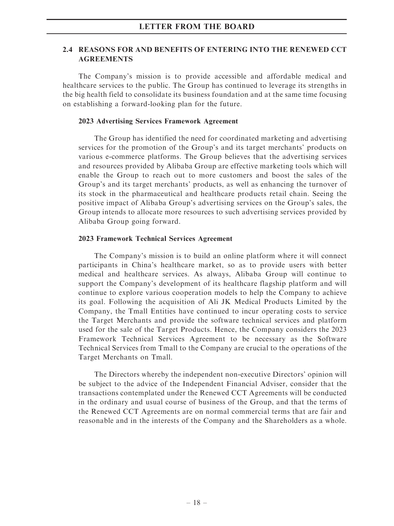## 2.4 REASONS FOR AND BENEFITS OF ENTERING INTO THE RENEWED CCT AGREEMENTS

The Company's mission is to provide accessible and affordable medical and healthcare services to the public. The Group has continued to leverage its strengths in the big health field to consolidate its business foundation and at the same time focusing on establishing a forward-looking plan for the future.

#### 2023 Advertising Services Framework Agreement

The Group has identified the need for coordinated marketing and advertising services for the promotion of the Group's and its target merchants' products on various e-commerce platforms. The Group believes that the advertising services and resources provided by Alibaba Group are effective marketing tools which will enable the Group to reach out to more customers and boost the sales of the Group's and its target merchants' products, as well as enhancing the turnover of its stock in the pharmaceutical and healthcare products retail chain. Seeing the positive impact of Alibaba Group's advertising services on the Group's sales, the Group intends to allocate more resources to such advertising services provided by Alibaba Group going forward.

#### 2023 Framework Technical Services Agreement

The Company's mission is to build an online platform where it will connect participants in China's healthcare market, so as to provide users with better medical and healthcare services. As always, Alibaba Group will continue to support the Company's development of its healthcare flagship platform and will continue to explore various cooperation models to help the Company to achieve its goal. Following the acquisition of Ali JK Medical Products Limited by the Company, the Tmall Entities have continued to incur operating costs to service the Target Merchants and provide the software technical services and platform used for the sale of the Target Products. Hence, the Company considers the 2023 Framework Technical Services Agreement to be necessary as the Software Technical Services from Tmall to the Company are crucial to the operations of the Target Merchants on Tmall.

The Directors whereby the independent non-executive Directors' opinion will be subject to the advice of the Independent Financial Adviser, consider that the transactions contemplated under the Renewed CCT Agreements will be conducted in the ordinary and usual course of business of the Group, and that the terms of the Renewed CCT Agreements are on normal commercial terms that are fair and reasonable and in the interests of the Company and the Shareholders as a whole.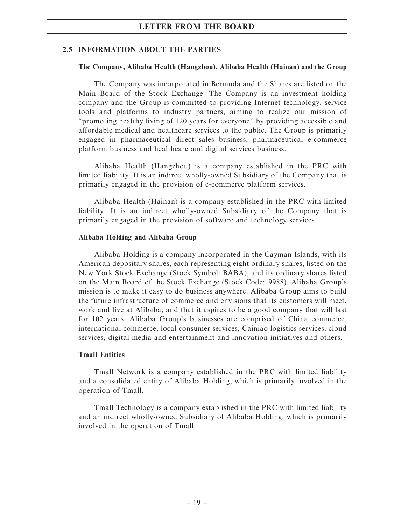#### 2.5 INFORMATION ABOUT THE PARTIES

#### The Company, Alibaba Health (Hangzhou), Alibaba Health (Hainan) and the Group

The Company was incorporated in Bermuda and the Shares are listed on the Main Board of the Stock Exchange. The Company is an investment holding company and the Group is committed to providing Internet technology, service tools and platforms to industry partners, aiming to realize our mission of ''promoting healthy living of 120 years for everyone'' by providing accessible and affordable medical and healthcare services to the public. The Group is primarily engaged in pharmaceutical direct sales business, pharmaceutical e-commerce platform business and healthcare and digital services business.

Alibaba Health (Hangzhou) is a company established in the PRC with limited liability. It is an indirect wholly-owned Subsidiary of the Company that is primarily engaged in the provision of e-commerce platform services.

Alibaba Health (Hainan) is a company established in the PRC with limited liability. It is an indirect wholly-owned Subsidiary of the Company that is primarily engaged in the provision of software and technology services.

#### Alibaba Holding and Alibaba Group

Alibaba Holding is a company incorporated in the Cayman Islands, with its American depositary shares, each representing eight ordinary shares, listed on the New York Stock Exchange (Stock Symbol: BABA), and its ordinary shares listed on the Main Board of the Stock Exchange (Stock Code: 9988). Alibaba Group's mission is to make it easy to do business anywhere. Alibaba Group aims to build the future infrastructure of commerce and envisions that its customers will meet, work and live at Alibaba, and that it aspires to be a good company that will last for 102 years. Alibaba Group's businesses are comprised of China commerce, international commerce, local consumer services, Cainiao logistics services, cloud services, digital media and entertainment and innovation initiatives and others.

#### Tmall Entities

Tmall Network is a company established in the PRC with limited liability and a consolidated entity of Alibaba Holding, which is primarily involved in the operation of Tmall.

Tmall Technology is a company established in the PRC with limited liability and an indirect wholly-owned Subsidiary of Alibaba Holding, which is primarily involved in the operation of Tmall.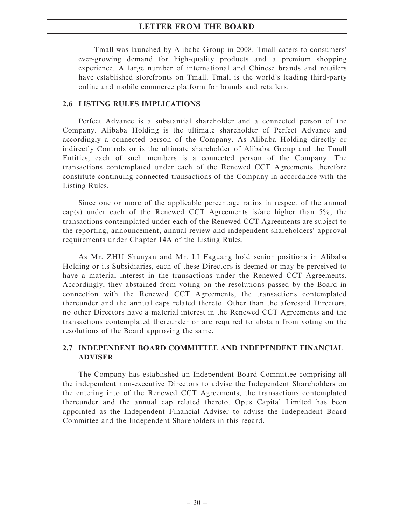Tmall was launched by Alibaba Group in 2008. Tmall caters to consumers' ever-growing demand for high-quality products and a premium shopping experience. A large number of international and Chinese brands and retailers have established storefronts on Tmall. Tmall is the world's leading third-party online and mobile commerce platform for brands and retailers.

#### 2.6 LISTING RULES IMPLICATIONS

Perfect Advance is a substantial shareholder and a connected person of the Company. Alibaba Holding is the ultimate shareholder of Perfect Advance and accordingly a connected person of the Company. As Alibaba Holding directly or indirectly Controls or is the ultimate shareholder of Alibaba Group and the Tmall Entities, each of such members is a connected person of the Company. The transactions contemplated under each of the Renewed CCT Agreements therefore constitute continuing connected transactions of the Company in accordance with the Listing Rules.

Since one or more of the applicable percentage ratios in respect of the annual cap(s) under each of the Renewed CCT Agreements is/are higher than 5%, the transactions contemplated under each of the Renewed CCT Agreements are subject to the reporting, announcement, annual review and independent shareholders' approval requirements under Chapter 14A of the Listing Rules.

As Mr. ZHU Shunyan and Mr. LI Faguang hold senior positions in Alibaba Holding or its Subsidiaries, each of these Directors is deemed or may be perceived to have a material interest in the transactions under the Renewed CCT Agreements. Accordingly, they abstained from voting on the resolutions passed by the Board in connection with the Renewed CCT Agreements, the transactions contemplated thereunder and the annual caps related thereto. Other than the aforesaid Directors, no other Directors have a material interest in the Renewed CCT Agreements and the transactions contemplated thereunder or are required to abstain from voting on the resolutions of the Board approving the same.

## 2.7 INDEPENDENT BOARD COMMITTEE AND INDEPENDENT FINANCIAL ADVISER

The Company has established an Independent Board Committee comprising all the independent non-executive Directors to advise the Independent Shareholders on the entering into of the Renewed CCT Agreements, the transactions contemplated thereunder and the annual cap related thereto. Opus Capital Limited has been appointed as the Independent Financial Adviser to advise the Independent Board Committee and the Independent Shareholders in this regard.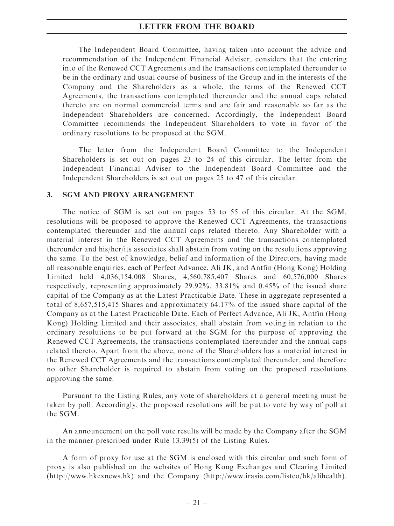The Independent Board Committee, having taken into account the advice and recommendation of the Independent Financial Adviser, considers that the entering into of the Renewed CCT Agreements and the transactions contemplated thereunder to be in the ordinary and usual course of business of the Group and in the interests of the Company and the Shareholders as a whole, the terms of the Renewed CCT Agreements, the transactions contemplated thereunder and the annual caps related thereto are on normal commercial terms and are fair and reasonable so far as the Independent Shareholders are concerned. Accordingly, the Independent Board Committee recommends the Independent Shareholders to vote in favor of the ordinary resolutions to be proposed at the SGM.

The letter from the Independent Board Committee to the Independent Shareholders is set out on pages 23 to 24 of this circular. The letter from the Independent Financial Adviser to the Independent Board Committee and the Independent Shareholders is set out on pages 25 to 47 of this circular.

#### 3. SGM AND PROXY ARRANGEMENT

The notice of SGM is set out on pages 53 to 55 of this circular. At the SGM, resolutions will be proposed to approve the Renewed CCT Agreements, the transactions contemplated thereunder and the annual caps related thereto. Any Shareholder with a material interest in the Renewed CCT Agreements and the transactions contemplated thereunder and his/her/its associates shall abstain from voting on the resolutions approving the same. To the best of knowledge, belief and information of the Directors, having made all reasonable enquiries, each of Perfect Advance, Ali JK, and Antfin (Hong Kong) Holding Limited held 4,036,154,008 Shares, 4,560,785,407 Shares and 60,576,000 Shares respectively, representing approximately 29.92%, 33.81% and 0.45% of the issued share capital of the Company as at the Latest Practicable Date. These in aggregate represented a total of 8,657,515,415 Shares and approximately 64.17% of the issued share capital of the Company as at the Latest Practicable Date. Each of Perfect Advance, Ali JK, Antfin (Hong Kong) Holding Limited and their associates, shall abstain from voting in relation to the ordinary resolutions to be put forward at the SGM for the purpose of approving the Renewed CCT Agreements, the transactions contemplated thereunder and the annual caps related thereto. Apart from the above, none of the Shareholders has a material interest in the Renewed CCT Agreements and the transactions contemplated thereunder, and therefore no other Shareholder is required to abstain from voting on the proposed resolutions approving the same.

Pursuant to the Listing Rules, any vote of shareholders at a general meeting must be taken by poll. Accordingly, the proposed resolutions will be put to vote by way of poll at the SGM.

An announcement on the poll vote results will be made by the Company after the SGM in the manner prescribed under Rule 13.39(5) of the Listing Rules.

A form of proxy for use at the SGM is enclosed with this circular and such form of proxy is also published on the websites of Hong Kong Exchanges and Clearing Limited (http://www.hkexnews.hk) and the Company (http://www.irasia.com/listco/hk/alihealth).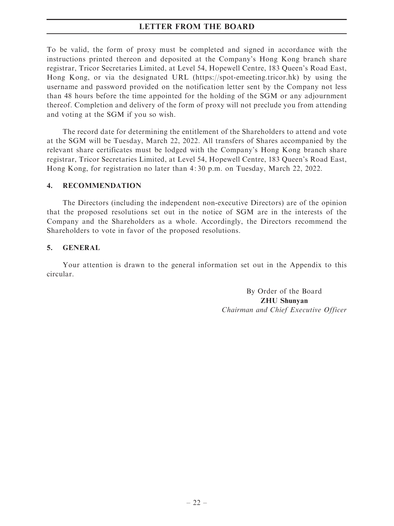To be valid, the form of proxy must be completed and signed in accordance with the instructions printed thereon and deposited at the Company's Hong Kong branch share registrar, Tricor Secretaries Limited, at Level 54, Hopewell Centre, 183 Queen's Road East, Hong Kong, or via the designated URL (https://spot-emeeting.tricor.hk) by using the username and password provided on the notification letter sent by the Company not less than 48 hours before the time appointed for the holding of the SGM or any adjournment thereof. Completion and delivery of the form of proxy will not preclude you from attending and voting at the SGM if you so wish.

The record date for determining the entitlement of the Shareholders to attend and vote at the SGM will be Tuesday, March 22, 2022. All transfers of Shares accompanied by the relevant share certificates must be lodged with the Company's Hong Kong branch share registrar, Tricor Secretaries Limited, at Level 54, Hopewell Centre, 183 Queen's Road East, Hong Kong, for registration no later than 4: 30 p.m. on Tuesday, March 22, 2022.

## 4. RECOMMENDATION

The Directors (including the independent non-executive Directors) are of the opinion that the proposed resolutions set out in the notice of SGM are in the interests of the Company and the Shareholders as a whole. Accordingly, the Directors recommend the Shareholders to vote in favor of the proposed resolutions.

## 5. GENERAL

Your attention is drawn to the general information set out in the Appendix to this circular.

> By Order of the Board ZHU Shunyan Chairman and Chief Executive Officer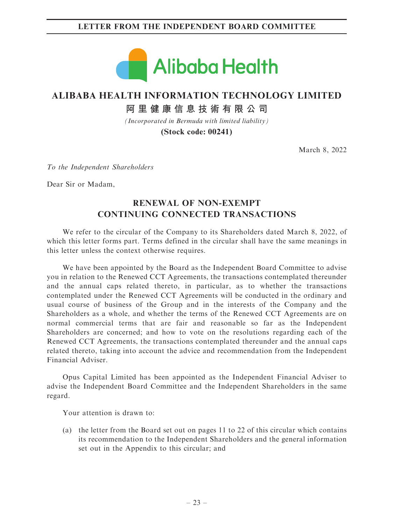## LETTER FROM THE INDEPENDENT BOARD COMMITTEE



# **ALIBABA HEALTH INFORMATION TECHNOLOGY LIMITED**

**阿里健康信息技術有限公司**

*(Incorporated in Bermuda with limited liability)*

**(Stock code: 00241)**

March 8, 2022

To the Independent Shareholders

Dear Sir or Madam,

# RENEWAL OF NON-EXEMPT CONTINUING CONNECTED TRANSACTIONS

We refer to the circular of the Company to its Shareholders dated March 8, 2022, of which this letter forms part. Terms defined in the circular shall have the same meanings in this letter unless the context otherwise requires.

We have been appointed by the Board as the Independent Board Committee to advise you in relation to the Renewed CCT Agreements, the transactions contemplated thereunder and the annual caps related thereto, in particular, as to whether the transactions contemplated under the Renewed CCT Agreements will be conducted in the ordinary and usual course of business of the Group and in the interests of the Company and the Shareholders as a whole, and whether the terms of the Renewed CCT Agreements are on normal commercial terms that are fair and reasonable so far as the Independent Shareholders are concerned; and how to vote on the resolutions regarding each of the Renewed CCT Agreements, the transactions contemplated thereunder and the annual caps related thereto, taking into account the advice and recommendation from the Independent Financial Adviser.

Opus Capital Limited has been appointed as the Independent Financial Adviser to advise the Independent Board Committee and the Independent Shareholders in the same regard.

Your attention is drawn to:

(a) the letter from the Board set out on pages 11 to 22 of this circular which contains its recommendation to the Independent Shareholders and the general information set out in the Appendix to this circular; and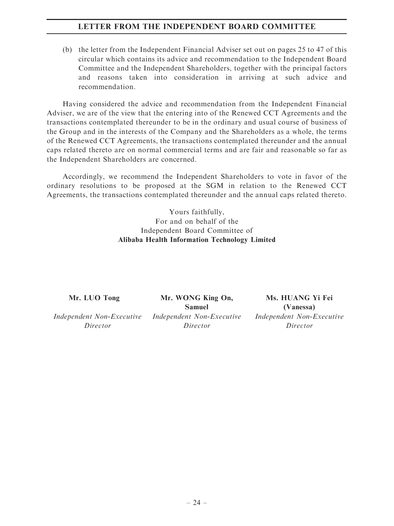## LETTER FROM THE INDEPENDENT BOARD COMMITTEE

(b) the letter from the Independent Financial Adviser set out on pages 25 to 47 of this circular which contains its advice and recommendation to the Independent Board Committee and the Independent Shareholders, together with the principal factors and reasons taken into consideration in arriving at such advice and recommendation.

Having considered the advice and recommendation from the Independent Financial Adviser, we are of the view that the entering into of the Renewed CCT Agreements and the transactions contemplated thereunder to be in the ordinary and usual course of business of the Group and in the interests of the Company and the Shareholders as a whole, the terms of the Renewed CCT Agreements, the transactions contemplated thereunder and the annual caps related thereto are on normal commercial terms and are fair and reasonable so far as the Independent Shareholders are concerned.

Accordingly, we recommend the Independent Shareholders to vote in favor of the ordinary resolutions to be proposed at the SGM in relation to the Renewed CCT Agreements, the transactions contemplated thereunder and the annual caps related thereto.

> Yours faithfully, For and on behalf of the Independent Board Committee of Alibaba Health Information Technology Limited

Mr. LUO Tong

Independent Non-Executive Director

Mr. WONG King On, Samuel Independent Non-Executive Director

Ms. HUANG Yi Fei (Vanessa) Independent Non-Executive Director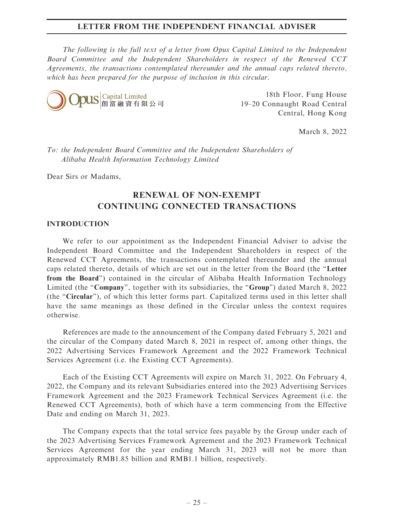The following is the full text of a letter from Opus Capital Limited to the Independent Board Committee and the Independent Shareholders in respect of the Renewed CCT Agreements, the transactions contemplated thereunder and the annual caps related thereto, which has been prepared for the purpose of inclusion in this circular.



18th Floor, Fung House 19–20 Connaught Road Central Central, Hong Kong

March 8, 2022

To: the Independent Board Committee and the Independent Shareholders of Alibaba Health Information Technology Limited

Dear Sirs or Madams,

# RENEWAL OF NON-EXEMPT CONTINUING CONNECTED TRANSACTIONS

#### INTRODUCTION

We refer to our appointment as the Independent Financial Adviser to advise the Independent Board Committee and the Independent Shareholders in respect of the Renewed CCT Agreements, the transactions contemplated thereunder and the annual caps related thereto, details of which are set out in the letter from the Board (the ''Letter from the Board'') contained in the circular of Alibaba Health Information Technology Limited (the "Company", together with its subsidiaries, the "Group") dated March 8, 2022 (the "Circular"), of which this letter forms part. Capitalized terms used in this letter shall have the same meanings as those defined in the Circular unless the context requires otherwise.

References are made to the announcement of the Company dated February 5, 2021 and the circular of the Company dated March 8, 2021 in respect of, among other things, the 2022 Advertising Services Framework Agreement and the 2022 Framework Technical Services Agreement (i.e. the Existing CCT Agreements).

Each of the Existing CCT Agreements will expire on March 31, 2022. On February 4, 2022, the Company and its relevant Subsidiaries entered into the 2023 Advertising Services Framework Agreement and the 2023 Framework Technical Services Agreement (i.e. the Renewed CCT Agreements), both of which have a term commencing from the Effective Date and ending on March 31, 2023.

The Company expects that the total service fees payable by the Group under each of the 2023 Advertising Services Framework Agreement and the 2023 Framework Technical Services Agreement for the year ending March 31, 2023 will not be more than approximately RMB1.85 billion and RMB1.1 billion, respectively.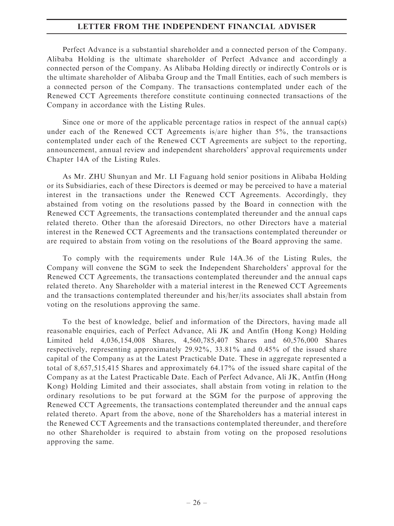Perfect Advance is a substantial shareholder and a connected person of the Company. Alibaba Holding is the ultimate shareholder of Perfect Advance and accordingly a connected person of the Company. As Alibaba Holding directly or indirectly Controls or is the ultimate shareholder of Alibaba Group and the Tmall Entities, each of such members is a connected person of the Company. The transactions contemplated under each of the Renewed CCT Agreements therefore constitute continuing connected transactions of the Company in accordance with the Listing Rules.

Since one or more of the applicable percentage ratios in respect of the annual cap(s) under each of the Renewed CCT Agreements is/are higher than 5%, the transactions contemplated under each of the Renewed CCT Agreements are subject to the reporting, announcement, annual review and independent shareholders' approval requirements under Chapter 14A of the Listing Rules.

As Mr. ZHU Shunyan and Mr. LI Faguang hold senior positions in Alibaba Holding or its Subsidiaries, each of these Directors is deemed or may be perceived to have a material interest in the transactions under the Renewed CCT Agreements. Accordingly, they abstained from voting on the resolutions passed by the Board in connection with the Renewed CCT Agreements, the transactions contemplated thereunder and the annual caps related thereto. Other than the aforesaid Directors, no other Directors have a material interest in the Renewed CCT Agreements and the transactions contemplated thereunder or are required to abstain from voting on the resolutions of the Board approving the same.

To comply with the requirements under Rule 14A.36 of the Listing Rules, the Company will convene the SGM to seek the Independent Shareholders' approval for the Renewed CCT Agreements, the transactions contemplated thereunder and the annual caps related thereto. Any Shareholder with a material interest in the Renewed CCT Agreements and the transactions contemplated thereunder and his/her/its associates shall abstain from voting on the resolutions approving the same.

To the best of knowledge, belief and information of the Directors, having made all reasonable enquiries, each of Perfect Advance, Ali JK and Antfin (Hong Kong) Holding Limited held 4,036,154,008 Shares, 4,560,785,407 Shares and 60,576,000 Shares respectively, representing approximately 29.92%, 33.81% and 0.45% of the issued share capital of the Company as at the Latest Practicable Date. These in aggregate represented a total of 8,657,515,415 Shares and approximately 64.17% of the issued share capital of the Company as at the Latest Practicable Date. Each of Perfect Advance, Ali JK, Antfin (Hong Kong) Holding Limited and their associates, shall abstain from voting in relation to the ordinary resolutions to be put forward at the SGM for the purpose of approving the Renewed CCT Agreements, the transactions contemplated thereunder and the annual caps related thereto. Apart from the above, none of the Shareholders has a material interest in the Renewed CCT Agreements and the transactions contemplated thereunder, and therefore no other Shareholder is required to abstain from voting on the proposed resolutions approving the same.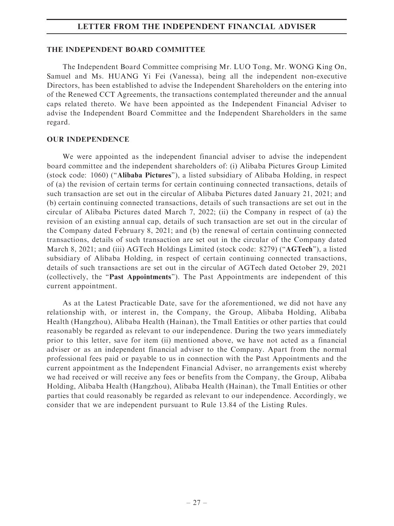#### THE INDEPENDENT BOARD COMMITTEE

The Independent Board Committee comprising Mr. LUO Tong, Mr. WONG King On, Samuel and Ms. HUANG Yi Fei (Vanessa), being all the independent non-executive Directors, has been established to advise the Independent Shareholders on the entering into of the Renewed CCT Agreements, the transactions contemplated thereunder and the annual caps related thereto. We have been appointed as the Independent Financial Adviser to advise the Independent Board Committee and the Independent Shareholders in the same regard.

#### OUR INDEPENDENCE

We were appointed as the independent financial adviser to advise the independent board committee and the independent shareholders of: (i) Alibaba Pictures Group Limited (stock code: 1060) (''Alibaba Pictures''), a listed subsidiary of Alibaba Holding, in respect of (a) the revision of certain terms for certain continuing connected transactions, details of such transaction are set out in the circular of Alibaba Pictures dated January 21, 2021; and (b) certain continuing connected transactions, details of such transactions are set out in the circular of Alibaba Pictures dated March 7, 2022; (ii) the Company in respect of (a) the revision of an existing annual cap, details of such transaction are set out in the circular of the Company dated February 8, 2021; and (b) the renewal of certain continuing connected transactions, details of such transaction are set out in the circular of the Company dated March 8, 2021; and (iii) AGTech Holdings Limited (stock code: 8279) ("AGTech"), a listed subsidiary of Alibaba Holding, in respect of certain continuing connected transactions, details of such transactions are set out in the circular of AGTech dated October 29, 2021 (collectively, the ''Past Appointments''). The Past Appointments are independent of this current appointment.

As at the Latest Practicable Date, save for the aforementioned, we did not have any relationship with, or interest in, the Company, the Group, Alibaba Holding, Alibaba Health (Hangzhou), Alibaba Health (Hainan), the Tmall Entities or other parties that could reasonably be regarded as relevant to our independence. During the two years immediately prior to this letter, save for item (ii) mentioned above, we have not acted as a financial adviser or as an independent financial adviser to the Company. Apart from the normal professional fees paid or payable to us in connection with the Past Appointments and the current appointment as the Independent Financial Adviser, no arrangements exist whereby we had received or will receive any fees or benefits from the Company, the Group, Alibaba Holding, Alibaba Health (Hangzhou), Alibaba Health (Hainan), the Tmall Entities or other parties that could reasonably be regarded as relevant to our independence. Accordingly, we consider that we are independent pursuant to Rule 13.84 of the Listing Rules.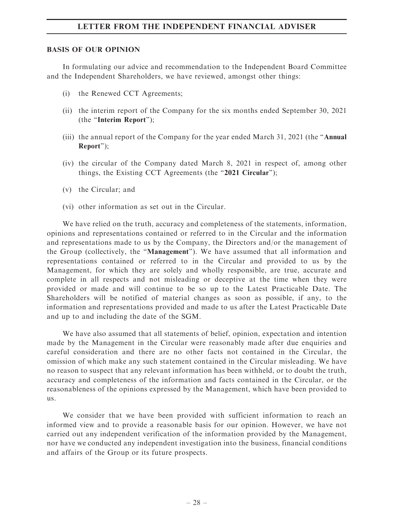#### BASIS OF OUR OPINION

In formulating our advice and recommendation to the Independent Board Committee and the Independent Shareholders, we have reviewed, amongst other things:

- (i) the Renewed CCT Agreements;
- (ii) the interim report of the Company for the six months ended September 30, 2021 (the ''Interim Report'');
- (iii) the annual report of the Company for the year ended March 31, 2021 (the ''Annual Report'');
- (iv) the circular of the Company dated March 8, 2021 in respect of, among other things, the Existing CCT Agreements (the "2021 Circular");
- (v) the Circular; and
- (vi) other information as set out in the Circular.

We have relied on the truth, accuracy and completeness of the statements, information, opinions and representations contained or referred to in the Circular and the information and representations made to us by the Company, the Directors and/or the management of the Group (collectively, the ''Management''). We have assumed that all information and representations contained or referred to in the Circular and provided to us by the Management, for which they are solely and wholly responsible, are true, accurate and complete in all respects and not misleading or deceptive at the time when they were provided or made and will continue to be so up to the Latest Practicable Date. The Shareholders will be notified of material changes as soon as possible, if any, to the information and representations provided and made to us after the Latest Practicable Date and up to and including the date of the SGM.

We have also assumed that all statements of belief, opinion, expectation and intention made by the Management in the Circular were reasonably made after due enquiries and careful consideration and there are no other facts not contained in the Circular, the omission of which make any such statement contained in the Circular misleading. We have no reason to suspect that any relevant information has been withheld, or to doubt the truth, accuracy and completeness of the information and facts contained in the Circular, or the reasonableness of the opinions expressed by the Management, which have been provided to us.

We consider that we have been provided with sufficient information to reach an informed view and to provide a reasonable basis for our opinion. However, we have not carried out any independent verification of the information provided by the Management, nor have we conducted any independent investigation into the business, financial conditions and affairs of the Group or its future prospects.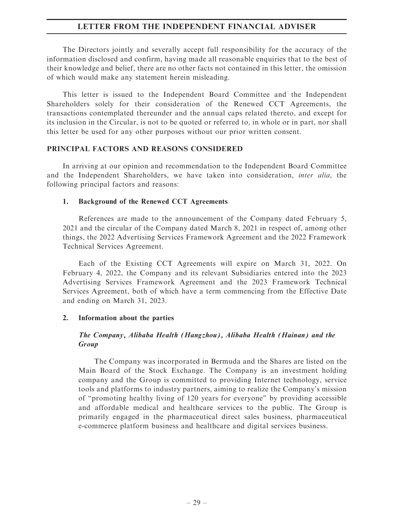The Directors jointly and severally accept full responsibility for the accuracy of the information disclosed and confirm, having made all reasonable enquiries that to the best of their knowledge and belief, there are no other facts not contained in this letter, the omission of which would make any statement herein misleading.

This letter is issued to the Independent Board Committee and the Independent Shareholders solely for their consideration of the Renewed CCT Agreements, the transactions contemplated thereunder and the annual caps related thereto, and except for its inclusion in the Circular, is not to be quoted or referred to, in whole or in part, nor shall this letter be used for any other purposes without our prior written consent.

#### PRINCIPAL FACTORS AND REASONS CONSIDERED

In arriving at our opinion and recommendation to the Independent Board Committee and the Independent Shareholders, we have taken into consideration, inter alia, the following principal factors and reasons:

#### 1. Background of the Renewed CCT Agreements

References are made to the announcement of the Company dated February 5, 2021 and the circular of the Company dated March 8, 2021 in respect of, among other things, the 2022 Advertising Services Framework Agreement and the 2022 Framework Technical Services Agreement.

Each of the Existing CCT Agreements will expire on March 31, 2022. On February 4, 2022, the Company and its relevant Subsidiaries entered into the 2023 Advertising Services Framework Agreement and the 2023 Framework Technical Services Agreement, both of which have a term commencing from the Effective Date and ending on March 31, 2023.

## 2. Information about the parties

## The Company, Alibaba Health (Hangzhou), Alibaba Health (Hainan) and the Group

The Company was incorporated in Bermuda and the Shares are listed on the Main Board of the Stock Exchange. The Company is an investment holding company and the Group is committed to providing Internet technology, service tools and platforms to industry partners, aiming to realize the Company's mission of ''promoting healthy living of 120 years for everyone'' by providing accessible and affordable medical and healthcare services to the public. The Group is primarily engaged in the pharmaceutical direct sales business, pharmaceutical e-commerce platform business and healthcare and digital services business.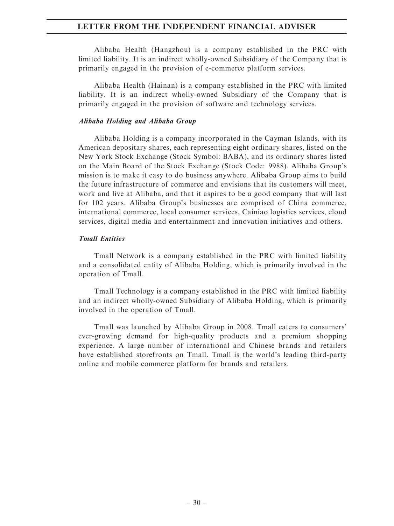Alibaba Health (Hangzhou) is a company established in the PRC with limited liability. It is an indirect wholly-owned Subsidiary of the Company that is primarily engaged in the provision of e-commerce platform services.

Alibaba Health (Hainan) is a company established in the PRC with limited liability. It is an indirect wholly-owned Subsidiary of the Company that is primarily engaged in the provision of software and technology services.

#### Alibaba Holding and Alibaba Group

Alibaba Holding is a company incorporated in the Cayman Islands, with its American depositary shares, each representing eight ordinary shares, listed on the New York Stock Exchange (Stock Symbol: BABA), and its ordinary shares listed on the Main Board of the Stock Exchange (Stock Code: 9988). Alibaba Group's mission is to make it easy to do business anywhere. Alibaba Group aims to build the future infrastructure of commerce and envisions that its customers will meet, work and live at Alibaba, and that it aspires to be a good company that will last for 102 years. Alibaba Group's businesses are comprised of China commerce, international commerce, local consumer services, Cainiao logistics services, cloud services, digital media and entertainment and innovation initiatives and others.

#### Tmall Entities

Tmall Network is a company established in the PRC with limited liability and a consolidated entity of Alibaba Holding, which is primarily involved in the operation of Tmall.

Tmall Technology is a company established in the PRC with limited liability and an indirect wholly-owned Subsidiary of Alibaba Holding, which is primarily involved in the operation of Tmall.

Tmall was launched by Alibaba Group in 2008. Tmall caters to consumers' ever-growing demand for high-quality products and a premium shopping experience. A large number of international and Chinese brands and retailers have established storefronts on Tmall. Tmall is the world's leading third-party online and mobile commerce platform for brands and retailers.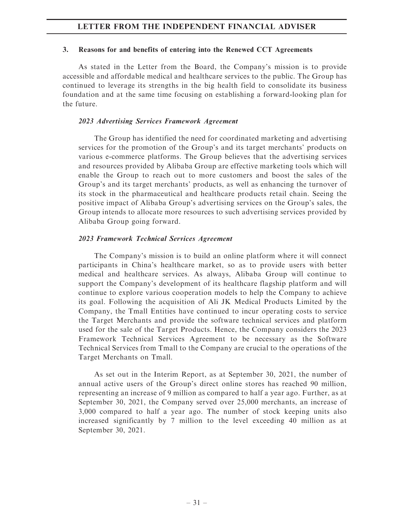#### 3. Reasons for and benefits of entering into the Renewed CCT Agreements

As stated in the Letter from the Board, the Company's mission is to provide accessible and affordable medical and healthcare services to the public. The Group has continued to leverage its strengths in the big health field to consolidate its business foundation and at the same time focusing on establishing a forward-looking plan for the future.

## 2023 Advertising Services Framework Agreement

The Group has identified the need for coordinated marketing and advertising services for the promotion of the Group's and its target merchants' products on various e-commerce platforms. The Group believes that the advertising services and resources provided by Alibaba Group are effective marketing tools which will enable the Group to reach out to more customers and boost the sales of the Group's and its target merchants' products, as well as enhancing the turnover of its stock in the pharmaceutical and healthcare products retail chain. Seeing the positive impact of Alibaba Group's advertising services on the Group's sales, the Group intends to allocate more resources to such advertising services provided by Alibaba Group going forward.

## 2023 Framework Technical Services Agreement

The Company's mission is to build an online platform where it will connect participants in China's healthcare market, so as to provide users with better medical and healthcare services. As always, Alibaba Group will continue to support the Company's development of its healthcare flagship platform and will continue to explore various cooperation models to help the Company to achieve its goal. Following the acquisition of Ali JK Medical Products Limited by the Company, the Tmall Entities have continued to incur operating costs to service the Target Merchants and provide the software technical services and platform used for the sale of the Target Products. Hence, the Company considers the 2023 Framework Technical Services Agreement to be necessary as the Software Technical Services from Tmall to the Company are crucial to the operations of the Target Merchants on Tmall.

As set out in the Interim Report, as at September 30, 2021, the number of annual active users of the Group's direct online stores has reached 90 million, representing an increase of 9 million as compared to half a year ago. Further, as at September 30, 2021, the Company served over 25,000 merchants, an increase of 3,000 compared to half a year ago. The number of stock keeping units also increased significantly by 7 million to the level exceeding 40 million as at September 30, 2021.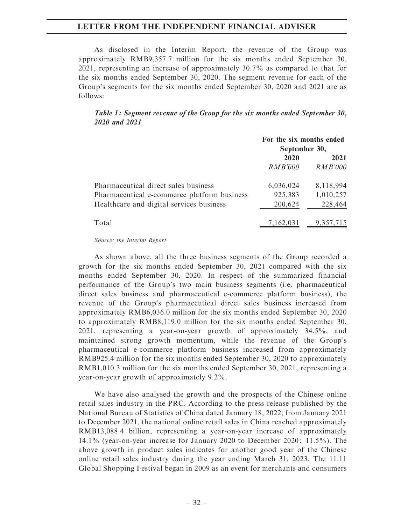As disclosed in the Interim Report, the revenue of the Group was approximately RMB9,357.7 million for the six months ended September 30, 2021, representing an increase of approximately 30.7% as compared to that for the six months ended September 30, 2020. The segment revenue for each of the Group's segments for the six months ended September 30, 2020 and 2021 are as follows:

#### Table 1: Segment revenue of the Group for the six months ended September 30, 2020 and 2021

|                                             | For the six months ended<br>September 30, |           |
|---------------------------------------------|-------------------------------------------|-----------|
|                                             | 2020<br>2021                              |           |
|                                             | RMB'000                                   | RMB'000   |
| Pharmaceutical direct sales business        | 6,036,024                                 | 8,118,994 |
| Pharmaceutical e-commerce platform business | 925,383                                   | 1,010,257 |
| Healthcare and digital services business    | 200,624                                   | 228,464   |
| Total                                       | 7,162,031                                 | 9,357,7   |

#### Source: the Interim Report

As shown above, all the three business segments of the Group recorded a growth for the six months ended September 30, 2021 compared with the six months ended September 30, 2020. In respect of the summarized financial performance of the Group's two main business segments (i.e. pharmaceutical direct sales business and pharmaceutical e-commerce platform business), the revenue of the Group's pharmaceutical direct sales business increased from approximately RMB6,036.0 million for the six months ended September 30, 2020 to approximately RMB8,119.0 million for the six months ended September 30, 2021, representing a year-on-year growth of approximately 34.5%, and maintained strong growth momentum, while the revenue of the Group's pharmaceutical e-commerce platform business increased from approximately RMB925.4 million for the six months ended September 30, 2020 to approximately RMB1,010.3 million for the six months ended September 30, 2021, representing a year-on-year growth of approximately 9.2%.

We have also analysed the growth and the prospects of the Chinese online retail sales industry in the PRC. According to the press release published by the National Bureau of Statistics of China dated January 18, 2022, from January 2021 to December 2021, the national online retail sales in China reached approximately RMB13,088.4 billion, representing a year-on-year increase of approximately 14.1% (year-on-year increase for January 2020 to December 2020: 11.5%). The above growth in product sales indicates for another good year of the Chinese online retail sales industry during the year ending March 31, 2023. The 11.11 Global Shopping Festival began in 2009 as an event for merchants and consumers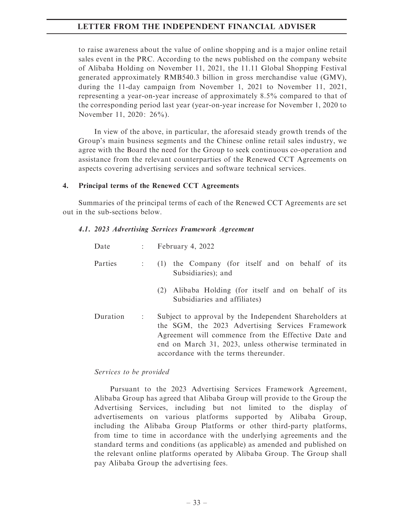to raise awareness about the value of online shopping and is a major online retail sales event in the PRC. According to the news published on the company website of Alibaba Holding on November 11, 2021, the 11.11 Global Shopping Festival generated approximately RMB540.3 billion in gross merchandise value (GMV), during the 11-day campaign from November 1, 2021 to November 11, 2021, representing a year-on-year increase of approximately 8.5% compared to that of the corresponding period last year (year-on-year increase for November 1, 2020 to November 11, 2020: 26%).

In view of the above, in particular, the aforesaid steady growth trends of the Group's main business segments and the Chinese online retail sales industry, we agree with the Board the need for the Group to seek continuous co-operation and assistance from the relevant counterparties of the Renewed CCT Agreements on aspects covering advertising services and software technical services.

#### 4. Principal terms of the Renewed CCT Agreements

Summaries of the principal terms of each of the Renewed CCT Agreements are set out in the sub-sections below.

#### 4.1. 2023 Advertising Services Framework Agreement

| Date     |                                                                        | $\therefore$ February 4, 2022                                                                                                                                                                                                                                       |  |  |  |
|----------|------------------------------------------------------------------------|---------------------------------------------------------------------------------------------------------------------------------------------------------------------------------------------------------------------------------------------------------------------|--|--|--|
| Parties  | (1) the Company (for itself and on behalf of its<br>Subsidiaries); and |                                                                                                                                                                                                                                                                     |  |  |  |
|          |                                                                        | Alibaba Holding (for itself and on behalf of its<br>(2)<br>Subsidiaries and affiliates)                                                                                                                                                                             |  |  |  |
| Duration | ÷                                                                      | Subject to approval by the Independent Shareholders at<br>the SGM, the 2023 Advertising Services Framework<br>Agreement will commence from the Effective Date and<br>end on March 31, 2023, unless otherwise terminated in<br>accordance with the terms thereunder. |  |  |  |

## Services to be provided

Pursuant to the 2023 Advertising Services Framework Agreement, Alibaba Group has agreed that Alibaba Group will provide to the Group the Advertising Services, including but not limited to the display of advertisements on various platforms supported by Alibaba Group, including the Alibaba Group Platforms or other third-party platforms, from time to time in accordance with the underlying agreements and the standard terms and conditions (as applicable) as amended and published on the relevant online platforms operated by Alibaba Group. The Group shall pay Alibaba Group the advertising fees.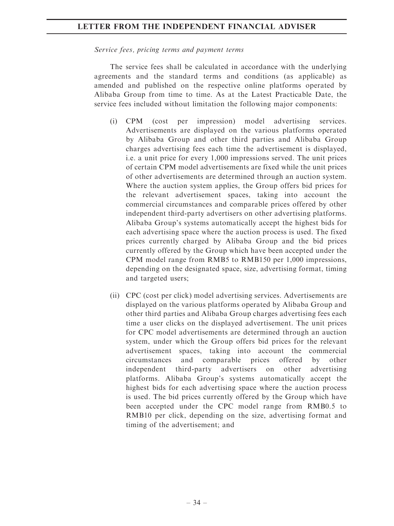#### Service fees, pricing terms and payment terms

The service fees shall be calculated in accordance with the underlying agreements and the standard terms and conditions (as applicable) as amended and published on the respective online platforms operated by Alibaba Group from time to time. As at the Latest Practicable Date, the service fees included without limitation the following major components:

- (i) CPM (cost per impression) model advertising services. Advertisements are displayed on the various platforms operated by Alibaba Group and other third parties and Alibaba Group charges advertising fees each time the advertisement is displayed, i.e. a unit price for every 1,000 impressions served. The unit prices of certain CPM model advertisements are fixed while the unit prices of other advertisements are determined through an auction system. Where the auction system applies, the Group offers bid prices for the relevant advertisement spaces, taking into account the commercial circumstances and comparable prices offered by other independent third-party advertisers on other advertising platforms. Alibaba Group's systems automatically accept the highest bids for each advertising space where the auction process is used. The fixed prices currently charged by Alibaba Group and the bid prices currently offered by the Group which have been accepted under the CPM model range from RMB5 to RMB150 per 1,000 impressions, depending on the designated space, size, advertising format, timing and targeted users;
- (ii) CPC (cost per click) model advertising services. Advertisements are displayed on the various platforms operated by Alibaba Group and other third parties and Alibaba Group charges advertising fees each time a user clicks on the displayed advertisement. The unit prices for CPC model advertisements are determined through an auction system, under which the Group offers bid prices for the relevant advertisement spaces, taking into account the commercial circumstances and comparable prices offered by other independent third-party advertisers on other advertising platforms. Alibaba Group's systems automatically accept the highest bids for each advertising space where the auction process is used. The bid prices currently offered by the Group which have been accepted under the CPC model range from RMB0.5 to RMB10 per click, depending on the size, advertising format and timing of the advertisement; and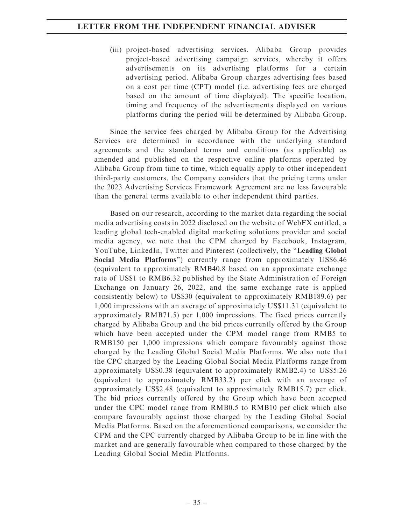(iii) project-based advertising services. Alibaba Group provides project-based advertising campaign services, whereby it offers advertisements on its advertising platforms for a certain advertising period. Alibaba Group charges advertising fees based on a cost per time (CPT) model (i.e. advertising fees are charged based on the amount of time displayed). The specific location, timing and frequency of the advertisements displayed on various platforms during the period will be determined by Alibaba Group.

Since the service fees charged by Alibaba Group for the Advertising Services are determined in accordance with the underlying standard agreements and the standard terms and conditions (as applicable) as amended and published on the respective online platforms operated by Alibaba Group from time to time, which equally apply to other independent third-party customers, the Company considers that the pricing terms under the 2023 Advertising Services Framework Agreement are no less favourable than the general terms available to other independent third parties.

Based on our research, according to the market data regarding the social media advertising costs in 2022 disclosed on the website of WebFX entitled, a leading global tech-enabled digital marketing solutions provider and social media agency, we note that the CPM charged by Facebook, Instagram, YouTube, LinkedIn, Twitter and Pinterest (collectively, the "Leading Global Social Media Platforms'') currently range from approximately US\$6.46 (equivalent to approximately RMB40.8 based on an approximate exchange rate of US\$1 to RMB6.32 published by the State Administration of Foreign Exchange on January 26, 2022, and the same exchange rate is applied consistently below) to US\$30 (equivalent to approximately RMB189.6) per 1,000 impressions with an average of approximately US\$11.31 (equivalent to approximately RMB71.5) per 1,000 impressions. The fixed prices currently charged by Alibaba Group and the bid prices currently offered by the Group which have been accepted under the CPM model range from RMB5 to RMB150 per 1,000 impressions which compare favourably against those charged by the Leading Global Social Media Platforms. We also note that the CPC charged by the Leading Global Social Media Platforms range from approximately US\$0.38 (equivalent to approximately RMB2.4) to US\$5.26 (equivalent to approximately RMB33.2) per click with an average of approximately US\$2.48 (equivalent to approximately RMB15.7) per click. The bid prices currently offered by the Group which have been accepted under the CPC model range from RMB0.5 to RMB10 per click which also compare favourably against those charged by the Leading Global Social Media Platforms. Based on the aforementioned comparisons, we consider the CPM and the CPC currently charged by Alibaba Group to be in line with the market and are generally favourable when compared to those charged by the Leading Global Social Media Platforms.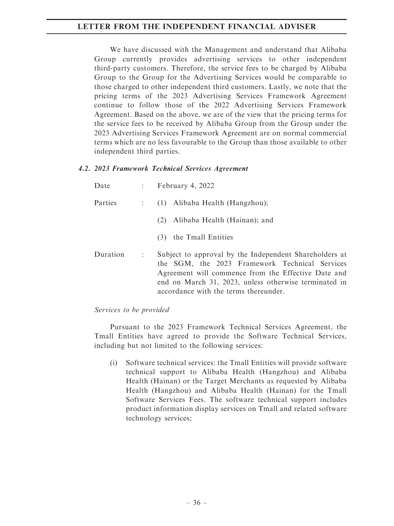We have discussed with the Management and understand that Alibaba Group currently provides advertising services to other independent third-party customers. Therefore, the service fees to be charged by Alibaba Group to the Group for the Advertising Services would be comparable to those charged to other independent third customers. Lastly, we note that the pricing terms of the 2023 Advertising Services Framework Agreement continue to follow those of the 2022 Advertising Services Framework Agreement. Based on the above, we are of the view that the pricing terms for the service fees to be received by Alibaba Group from the Group under the 2023 Advertising Services Framework Agreement are on normal commercial terms which are no less favourable to the Group than those available to other independent third parties.

## 4.2. 2023 Framework Technical Services Agreement

| Date     | $1 - 1$       | February 4, 2022                                                                                                                                                                                                                                                  |  |  |  |
|----------|---------------|-------------------------------------------------------------------------------------------------------------------------------------------------------------------------------------------------------------------------------------------------------------------|--|--|--|
| Parties  |               | (1) Alibaba Health (Hangzhou);                                                                                                                                                                                                                                    |  |  |  |
|          |               | Alibaba Health (Hainan); and<br>(2)                                                                                                                                                                                                                               |  |  |  |
|          |               | the Tmall Entities<br>(3)                                                                                                                                                                                                                                         |  |  |  |
| Duration | $\mathcal{L}$ | Subject to approval by the Independent Shareholders at<br>the SGM, the 2023 Framework Technical Services<br>Agreement will commence from the Effective Date and<br>end on March 31, 2023, unless otherwise terminated in<br>accordance with the terms thereunder. |  |  |  |

#### Services to be provided

Pursuant to the 2023 Framework Technical Services Agreement, the Tmall Entities have agreed to provide the Software Technical Services, including but not limited to the following services:

(i) Software technical services: the Tmall Entities will provide software technical support to Alibaba Health (Hangzhou) and Alibaba Health (Hainan) or the Target Merchants as requested by Alibaba Health (Hangzhou) and Alibaba Health (Hainan) for the Tmall Software Services Fees. The software technical support includes product information display services on Tmall and related software technology services;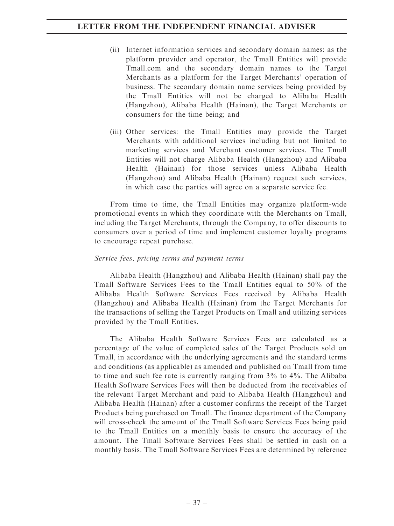- (ii) Internet information services and secondary domain names: as the platform provider and operator, the Tmall Entities will provide Tmall.com and the secondary domain names to the Target Merchants as a platform for the Target Merchants' operation of business. The secondary domain name services being provided by the Tmall Entities will not be charged to Alibaba Health (Hangzhou), Alibaba Health (Hainan), the Target Merchants or consumers for the time being; and
- (iii) Other services: the Tmall Entities may provide the Target Merchants with additional services including but not limited to marketing services and Merchant customer services. The Tmall Entities will not charge Alibaba Health (Hangzhou) and Alibaba Health (Hainan) for those services unless Alibaba Health (Hangzhou) and Alibaba Health (Hainan) request such services, in which case the parties will agree on a separate service fee.

From time to time, the Tmall Entities may organize platform-wide promotional events in which they coordinate with the Merchants on Tmall, including the Target Merchants, through the Company, to offer discounts to consumers over a period of time and implement customer loyalty programs to encourage repeat purchase.

## Service fees, pricing terms and payment terms

Alibaba Health (Hangzhou) and Alibaba Health (Hainan) shall pay the Tmall Software Services Fees to the Tmall Entities equal to 50% of the Alibaba Health Software Services Fees received by Alibaba Health (Hangzhou) and Alibaba Health (Hainan) from the Target Merchants for the transactions of selling the Target Products on Tmall and utilizing services provided by the Tmall Entities.

The Alibaba Health Software Services Fees are calculated as a percentage of the value of completed sales of the Target Products sold on Tmall, in accordance with the underlying agreements and the standard terms and conditions (as applicable) as amended and published on Tmall from time to time and such fee rate is currently ranging from 3% to 4%. The Alibaba Health Software Services Fees will then be deducted from the receivables of the relevant Target Merchant and paid to Alibaba Health (Hangzhou) and Alibaba Health (Hainan) after a customer confirms the receipt of the Target Products being purchased on Tmall. The finance department of the Company will cross-check the amount of the Tmall Software Services Fees being paid to the Tmall Entities on a monthly basis to ensure the accuracy of the amount. The Tmall Software Services Fees shall be settled in cash on a monthly basis. The Tmall Software Services Fees are determined by reference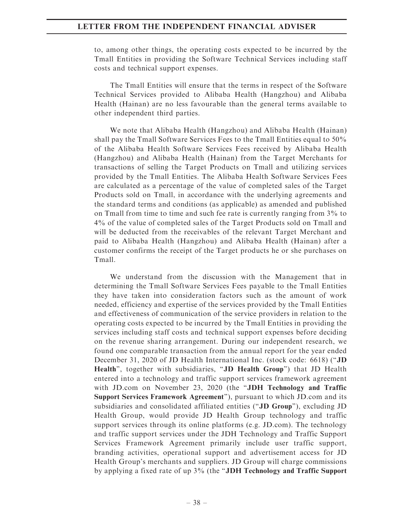to, among other things, the operating costs expected to be incurred by the Tmall Entities in providing the Software Technical Services including staff costs and technical support expenses.

The Tmall Entities will ensure that the terms in respect of the Software Technical Services provided to Alibaba Health (Hangzhou) and Alibaba Health (Hainan) are no less favourable than the general terms available to other independent third parties.

We note that Alibaba Health (Hangzhou) and Alibaba Health (Hainan) shall pay the Tmall Software Services Fees to the Tmall Entities equal to 50% of the Alibaba Health Software Services Fees received by Alibaba Health (Hangzhou) and Alibaba Health (Hainan) from the Target Merchants for transactions of selling the Target Products on Tmall and utilizing services provided by the Tmall Entities. The Alibaba Health Software Services Fees are calculated as a percentage of the value of completed sales of the Target Products sold on Tmall, in accordance with the underlying agreements and the standard terms and conditions (as applicable) as amended and published on Tmall from time to time and such fee rate is currently ranging from 3% to 4% of the value of completed sales of the Target Products sold on Tmall and will be deducted from the receivables of the relevant Target Merchant and paid to Alibaba Health (Hangzhou) and Alibaba Health (Hainan) after a customer confirms the receipt of the Target products he or she purchases on Tmall.

We understand from the discussion with the Management that in determining the Tmall Software Services Fees payable to the Tmall Entities they have taken into consideration factors such as the amount of work needed, efficiency and expertise of the services provided by the Tmall Entities and effectiveness of communication of the service providers in relation to the operating costs expected to be incurred by the Tmall Entities in providing the services including staff costs and technical support expenses before deciding on the revenue sharing arrangement. During our independent research, we found one comparable transaction from the annual report for the year ended December 31, 2020 of JD Health International Inc. (stock code: 6618) (''JD Health", together with subsidiaries, "JD Health Group") that JD Health entered into a technology and traffic support services framework agreement with JD.com on November 23, 2020 (the "JDH Technology and Traffic Support Services Framework Agreement''), pursuant to which JD.com and its subsidiaries and consolidated affiliated entities (''JD Group''), excluding JD Health Group, would provide JD Health Group technology and traffic support services through its online platforms (e.g. JD.com). The technology and traffic support services under the JDH Technology and Traffic Support Services Framework Agreement primarily include user traffic support, branding activities, operational support and advertisement access for JD Health Group's merchants and suppliers. JD Group will charge commissions by applying a fixed rate of up  $3\%$  (the "JDH Technology and Traffic Support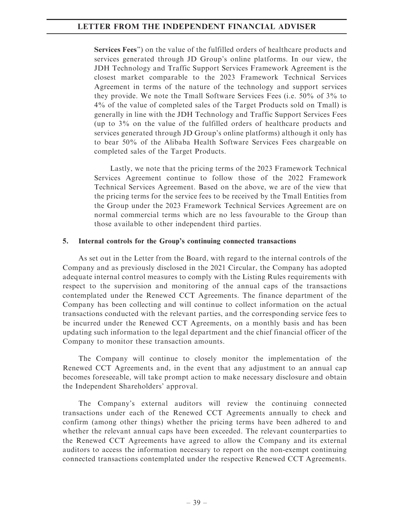Services Fees'') on the value of the fulfilled orders of healthcare products and services generated through JD Group's online platforms. In our view, the JDH Technology and Traffic Support Services Framework Agreement is the closest market comparable to the 2023 Framework Technical Services Agreement in terms of the nature of the technology and support services they provide. We note the Tmall Software Services Fees (i.e. 50% of 3% to 4% of the value of completed sales of the Target Products sold on Tmall) is generally in line with the JDH Technology and Traffic Support Services Fees (up to 3% on the value of the fulfilled orders of healthcare products and services generated through JD Group's online platforms) although it only has to bear 50% of the Alibaba Health Software Services Fees chargeable on completed sales of the Target Products.

Lastly, we note that the pricing terms of the 2023 Framework Technical Services Agreement continue to follow those of the 2022 Framework Technical Services Agreement. Based on the above, we are of the view that the pricing terms for the service fees to be received by the Tmall Entities from the Group under the 2023 Framework Technical Services Agreement are on normal commercial terms which are no less favourable to the Group than those available to other independent third parties.

#### 5. Internal controls for the Group's continuing connected transactions

As set out in the Letter from the Board, with regard to the internal controls of the Company and as previously disclosed in the 2021 Circular, the Company has adopted adequate internal control measures to comply with the Listing Rules requirements with respect to the supervision and monitoring of the annual caps of the transactions contemplated under the Renewed CCT Agreements. The finance department of the Company has been collecting and will continue to collect information on the actual transactions conducted with the relevant parties, and the corresponding service fees to be incurred under the Renewed CCT Agreements, on a monthly basis and has been updating such information to the legal department and the chief financial officer of the Company to monitor these transaction amounts.

The Company will continue to closely monitor the implementation of the Renewed CCT Agreements and, in the event that any adjustment to an annual cap becomes foreseeable, will take prompt action to make necessary disclosure and obtain the Independent Shareholders' approval.

The Company's external auditors will review the continuing connected transactions under each of the Renewed CCT Agreements annually to check and confirm (among other things) whether the pricing terms have been adhered to and whether the relevant annual caps have been exceeded. The relevant counterparties to the Renewed CCT Agreements have agreed to allow the Company and its external auditors to access the information necessary to report on the non-exempt continuing connected transactions contemplated under the respective Renewed CCT Agreements.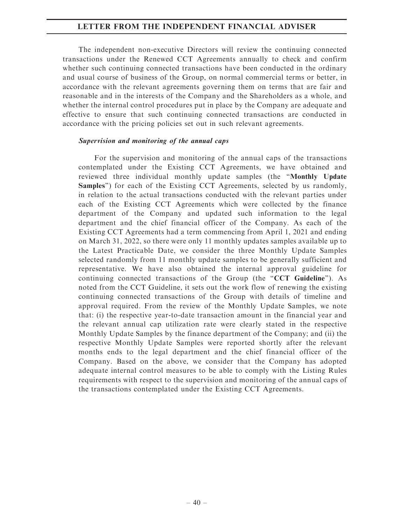The independent non-executive Directors will review the continuing connected transactions under the Renewed CCT Agreements annually to check and confirm whether such continuing connected transactions have been conducted in the ordinary and usual course of business of the Group, on normal commercial terms or better, in accordance with the relevant agreements governing them on terms that are fair and reasonable and in the interests of the Company and the Shareholders as a whole, and whether the internal control procedures put in place by the Company are adequate and effective to ensure that such continuing connected transactions are conducted in accordance with the pricing policies set out in such relevant agreements.

#### Supervision and monitoring of the annual caps

For the supervision and monitoring of the annual caps of the transactions contemplated under the Existing CCT Agreements, we have obtained and reviewed three individual monthly update samples (the "Monthly Update Samples'') for each of the Existing CCT Agreements, selected by us randomly, in relation to the actual transactions conducted with the relevant parties under each of the Existing CCT Agreements which were collected by the finance department of the Company and updated such information to the legal department and the chief financial officer of the Company. As each of the Existing CCT Agreements had a term commencing from April 1, 2021 and ending on March 31, 2022, so there were only 11 monthly updates samples available up to the Latest Practicable Date, we consider the three Monthly Update Samples selected randomly from 11 monthly update samples to be generally sufficient and representative. We have also obtained the internal approval guideline for continuing connected transactions of the Group (the " $CCT$  Guideline"). As noted from the CCT Guideline, it sets out the work flow of renewing the existing continuing connected transactions of the Group with details of timeline and approval required. From the review of the Monthly Update Samples, we note that: (i) the respective year-to-date transaction amount in the financial year and the relevant annual cap utilization rate were clearly stated in the respective Monthly Update Samples by the finance department of the Company; and (ii) the respective Monthly Update Samples were reported shortly after the relevant months ends to the legal department and the chief financial officer of the Company. Based on the above, we consider that the Company has adopted adequate internal control measures to be able to comply with the Listing Rules requirements with respect to the supervision and monitoring of the annual caps of the transactions contemplated under the Existing CCT Agreements.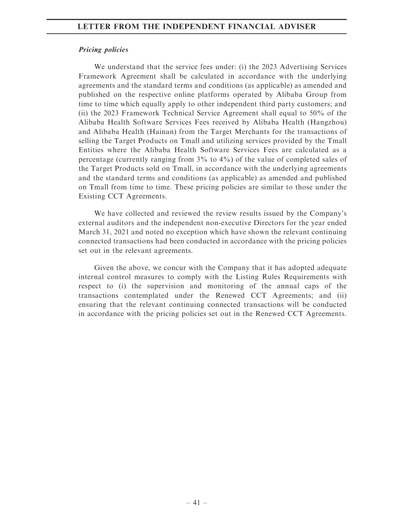#### Pricing policies

We understand that the service fees under: (i) the 2023 Advertising Services Framework Agreement shall be calculated in accordance with the underlying agreements and the standard terms and conditions (as applicable) as amended and published on the respective online platforms operated by Alibaba Group from time to time which equally apply to other independent third party customers; and (ii) the 2023 Framework Technical Service Agreement shall equal to 50% of the Alibaba Health Software Services Fees received by Alibaba Health (Hangzhou) and Alibaba Health (Hainan) from the Target Merchants for the transactions of selling the Target Products on Tmall and utilizing services provided by the Tmall Entities where the Alibaba Health Software Services Fees are calculated as a percentage (currently ranging from 3% to 4%) of the value of completed sales of the Target Products sold on Tmall, in accordance with the underlying agreements and the standard terms and conditions (as applicable) as amended and published on Tmall from time to time. These pricing policies are similar to those under the Existing CCT Agreements.

We have collected and reviewed the review results issued by the Company's external auditors and the independent non-executive Directors for the year ended March 31, 2021 and noted no exception which have shown the relevant continuing connected transactions had been conducted in accordance with the pricing policies set out in the relevant agreements.

Given the above, we concur with the Company that it has adopted adequate internal control measures to comply with the Listing Rules Requirements with respect to (i) the supervision and monitoring of the annual caps of the transactions contemplated under the Renewed CCT Agreements; and (ii) ensuring that the relevant continuing connected transactions will be conducted in accordance with the pricing policies set out in the Renewed CCT Agreements.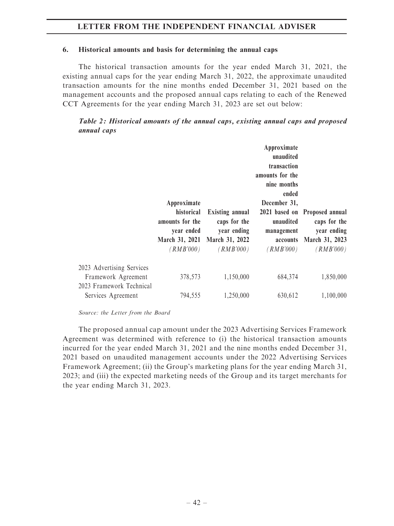#### 6. Historical amounts and basis for determining the annual caps

The historical transaction amounts for the year ended March 31, 2021, the existing annual caps for the year ending March 31, 2022, the approximate unaudited transaction amounts for the nine months ended December 31, 2021 based on the management accounts and the proposed annual caps relating to each of the Renewed CCT Agreements for the year ending March 31, 2023 are set out below:

Table 2: Historical amounts of the annual caps, existing annual caps and proposed annual caps

|                                                  | Approximate<br>historical<br>amounts for the<br>year ended<br>(RMB'000) | <b>Existing annual</b><br>caps for the<br>year ending<br>March 31, 2021 March 31, 2022<br>(RMB'000) | Approximate<br>unaudited<br>transaction<br>amounts for the<br>nine months<br>ended<br>December 31,<br>unaudited<br>management<br>accounts<br>(RMB'000) | 2021 based on Proposed annual<br>caps for the<br>year ending<br>March 31, 2023<br>(RMB'000) |
|--------------------------------------------------|-------------------------------------------------------------------------|-----------------------------------------------------------------------------------------------------|--------------------------------------------------------------------------------------------------------------------------------------------------------|---------------------------------------------------------------------------------------------|
| 2023 Advertising Services<br>Framework Agreement | 378,573                                                                 | 1,150,000                                                                                           | 684,374                                                                                                                                                | 1,850,000                                                                                   |
| 2023 Framework Technical<br>Services Agreement   | 794,555                                                                 | 1,250,000                                                                                           | 630,612                                                                                                                                                | 1,100,000                                                                                   |

Source: the Letter from the Board

The proposed annual cap amount under the 2023 Advertising Services Framework Agreement was determined with reference to (i) the historical transaction amounts incurred for the year ended March 31, 2021 and the nine months ended December 31, 2021 based on unaudited management accounts under the 2022 Advertising Services Framework Agreement; (ii) the Group's marketing plans for the year ending March 31, 2023; and (iii) the expected marketing needs of the Group and its target merchants for the year ending March 31, 2023.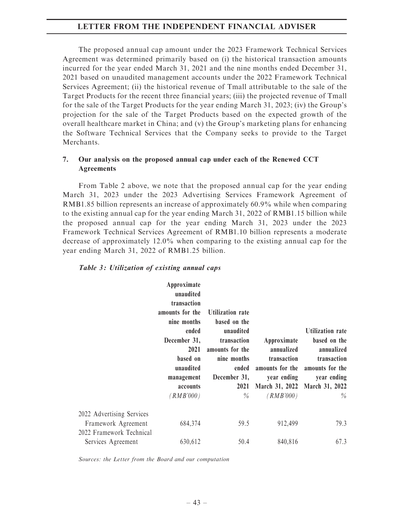The proposed annual cap amount under the 2023 Framework Technical Services Agreement was determined primarily based on (i) the historical transaction amounts incurred for the year ended March 31, 2021 and the nine months ended December 31, 2021 based on unaudited management accounts under the 2022 Framework Technical Services Agreement; (ii) the historical revenue of Tmall attributable to the sale of the Target Products for the recent three financial years; (iii) the projected revenue of Tmall for the sale of the Target Products for the year ending March 31, 2023; (iv) the Group's projection for the sale of the Target Products based on the expected growth of the overall healthcare market in China; and (v) the Group's marketing plans for enhancing the Software Technical Services that the Company seeks to provide to the Target Merchants.

#### 7. Our analysis on the proposed annual cap under each of the Renewed CCT Agreements

From Table 2 above, we note that the proposed annual cap for the year ending March 31, 2023 under the 2023 Advertising Services Framework Agreement of RMB1.85 billion represents an increase of approximately 60.9% while when comparing to the existing annual cap for the year ending March 31, 2022 of RMB1.15 billion while the proposed annual cap for the year ending March 31, 2023 under the 2023 Framework Technical Services Agreement of RMB1.10 billion represents a moderate decrease of approximately 12.0% when comparing to the existing annual cap for the year ending March 31, 2022 of RMB1.25 billion.

|  | Table 3: Utilization of existing annual caps |  |  |  |  |
|--|----------------------------------------------|--|--|--|--|
|--|----------------------------------------------|--|--|--|--|

|                           | Approximate<br>unaudited<br>transaction<br>amounts for the<br>nine months<br>ended<br>December 31,<br>2021<br>based on<br>unaudited<br>management<br>accounts<br>(RMB'000) | <b>Utilization rate</b><br>based on the<br>unaudited<br>transaction<br>amounts for the<br>nine months<br>ended<br>December 31,<br>2021<br>$\%$ | Approximate<br>annualized<br>transaction<br>year ending<br>March 31, 2022 March 31, 2022<br>(RMB'000) | Utilization rate<br>based on the<br>annualized<br>transaction<br>amounts for the amounts for the<br>year ending<br>$\%$ |
|---------------------------|----------------------------------------------------------------------------------------------------------------------------------------------------------------------------|------------------------------------------------------------------------------------------------------------------------------------------------|-------------------------------------------------------------------------------------------------------|-------------------------------------------------------------------------------------------------------------------------|
| 2022 Advertising Services |                                                                                                                                                                            |                                                                                                                                                |                                                                                                       |                                                                                                                         |
| Framework Agreement       | 684,374                                                                                                                                                                    | 59.5                                                                                                                                           | 912,499                                                                                               | 79.3                                                                                                                    |
| 2022 Framework Technical  |                                                                                                                                                                            |                                                                                                                                                |                                                                                                       |                                                                                                                         |
| Services Agreement        | 630,612                                                                                                                                                                    | 50.4                                                                                                                                           | 840,816                                                                                               | 67.3                                                                                                                    |

Sources: the Letter from the Board and our computation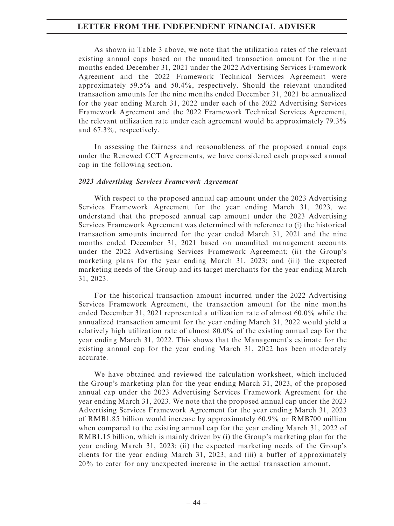As shown in Table 3 above, we note that the utilization rates of the relevant existing annual caps based on the unaudited transaction amount for the nine months ended December 31, 2021 under the 2022 Advertising Services Framework Agreement and the 2022 Framework Technical Services Agreement were approximately 59.5% and 50.4%, respectively. Should the relevant unaudited transaction amounts for the nine months ended December 31, 2021 be annualized for the year ending March 31, 2022 under each of the 2022 Advertising Services Framework Agreement and the 2022 Framework Technical Services Agreement, the relevant utilization rate under each agreement would be approximately 79.3% and 67.3%, respectively.

In assessing the fairness and reasonableness of the proposed annual caps under the Renewed CCT Agreements, we have considered each proposed annual cap in the following section.

#### 2023 Advertising Services Framework Agreement

With respect to the proposed annual cap amount under the 2023 Advertising Services Framework Agreement for the year ending March 31, 2023, we understand that the proposed annual cap amount under the 2023 Advertising Services Framework Agreement was determined with reference to (i) the historical transaction amounts incurred for the year ended March 31, 2021 and the nine months ended December 31, 2021 based on unaudited management accounts under the 2022 Advertising Services Framework Agreement; (ii) the Group's marketing plans for the year ending March 31, 2023; and (iii) the expected marketing needs of the Group and its target merchants for the year ending March 31, 2023.

For the historical transaction amount incurred under the 2022 Advertising Services Framework Agreement, the transaction amount for the nine months ended December 31, 2021 represented a utilization rate of almost 60.0% while the annualized transaction amount for the year ending March 31, 2022 would yield a relatively high utilization rate of almost 80.0% of the existing annual cap for the year ending March 31, 2022. This shows that the Management's estimate for the existing annual cap for the year ending March 31, 2022 has been moderately accurate.

We have obtained and reviewed the calculation worksheet, which included the Group's marketing plan for the year ending March 31, 2023, of the proposed annual cap under the 2023 Advertising Services Framework Agreement for the year ending March 31, 2023. We note that the proposed annual cap under the 2023 Advertising Services Framework Agreement for the year ending March 31, 2023 of RMB1.85 billion would increase by approximately 60.9% or RMB700 million when compared to the existing annual cap for the year ending March 31, 2022 of RMB1.15 billion, which is mainly driven by (i) the Group's marketing plan for the year ending March 31, 2023; (ii) the expected marketing needs of the Group's clients for the year ending March 31, 2023; and (iii) a buffer of approximately 20% to cater for any unexpected increase in the actual transaction amount.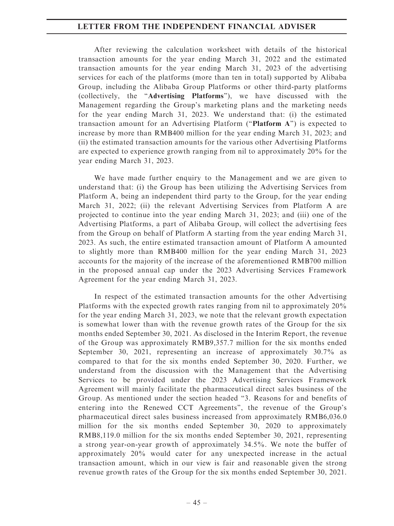After reviewing the calculation worksheet with details of the historical transaction amounts for the year ending March 31, 2022 and the estimated transaction amounts for the year ending March 31, 2023 of the advertising services for each of the platforms (more than ten in total) supported by Alibaba Group, including the Alibaba Group Platforms or other third-party platforms (collectively, the ''Advertising Platforms''), we have discussed with the Management regarding the Group's marketing plans and the marketing needs for the year ending March 31, 2023. We understand that: (i) the estimated transaction amount for an Advertising Platform ("Platform  $A$ ") is expected to increase by more than RMB400 million for the year ending March 31, 2023; and (ii) the estimated transaction amounts for the various other Advertising Platforms are expected to experience growth ranging from nil to approximately 20% for the year ending March 31, 2023.

We have made further enquiry to the Management and we are given to understand that: (i) the Group has been utilizing the Advertising Services from Platform A, being an independent third party to the Group, for the year ending March 31, 2022; (ii) the relevant Advertising Services from Platform A are projected to continue into the year ending March 31, 2023; and (iii) one of the Advertising Platforms, a part of Alibaba Group, will collect the advertising fees from the Group on behalf of Platform A starting from the year ending March 31, 2023. As such, the entire estimated transaction amount of Platform A amounted to slightly more than RMB400 million for the year ending March 31, 2023 accounts for the majority of the increase of the aforementioned RMB700 million in the proposed annual cap under the 2023 Advertising Services Framework Agreement for the year ending March 31, 2023.

In respect of the estimated transaction amounts for the other Advertising Platforms with the expected growth rates ranging from nil to approximately 20% for the year ending March 31, 2023, we note that the relevant growth expectation is somewhat lower than with the revenue growth rates of the Group for the six months ended September 30, 2021. As disclosed in the Interim Report, the revenue of the Group was approximately RMB9,357.7 million for the six months ended September 30, 2021, representing an increase of approximately 30.7% as compared to that for the six months ended September 30, 2020. Further, we understand from the discussion with the Management that the Advertising Services to be provided under the 2023 Advertising Services Framework Agreement will mainly facilitate the pharmaceutical direct sales business of the Group. As mentioned under the section headed ''3. Reasons for and benefits of entering into the Renewed CCT Agreements'', the revenue of the Group's pharmaceutical direct sales business increased from approximately RMB6,036.0 million for the six months ended September 30, 2020 to approximately RMB8,119.0 million for the six months ended September 30, 2021, representing a strong year-on-year growth of approximately 34.5%. We note the buffer of approximately 20% would cater for any unexpected increase in the actual transaction amount, which in our view is fair and reasonable given the strong revenue growth rates of the Group for the six months ended September 30, 2021.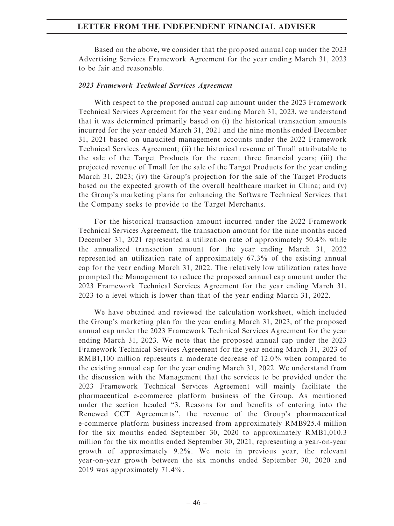Based on the above, we consider that the proposed annual cap under the 2023 Advertising Services Framework Agreement for the year ending March 31, 2023 to be fair and reasonable.

#### 2023 Framework Technical Services Agreement

With respect to the proposed annual cap amount under the 2023 Framework Technical Services Agreement for the year ending March 31, 2023, we understand that it was determined primarily based on (i) the historical transaction amounts incurred for the year ended March 31, 2021 and the nine months ended December 31, 2021 based on unaudited management accounts under the 2022 Framework Technical Services Agreement; (ii) the historical revenue of Tmall attributable to the sale of the Target Products for the recent three financial years; (iii) the projected revenue of Tmall for the sale of the Target Products for the year ending March 31, 2023; (iv) the Group's projection for the sale of the Target Products based on the expected growth of the overall healthcare market in China; and (v) the Group's marketing plans for enhancing the Software Technical Services that the Company seeks to provide to the Target Merchants.

For the historical transaction amount incurred under the 2022 Framework Technical Services Agreement, the transaction amount for the nine months ended December 31, 2021 represented a utilization rate of approximately 50.4% while the annualized transaction amount for the year ending March 31, 2022 represented an utilization rate of approximately 67.3% of the existing annual cap for the year ending March 31, 2022. The relatively low utilization rates have prompted the Management to reduce the proposed annual cap amount under the 2023 Framework Technical Services Agreement for the year ending March 31, 2023 to a level which is lower than that of the year ending March 31, 2022.

We have obtained and reviewed the calculation worksheet, which included the Group's marketing plan for the year ending March 31, 2023, of the proposed annual cap under the 2023 Framework Technical Services Agreement for the year ending March 31, 2023. We note that the proposed annual cap under the 2023 Framework Technical Services Agreement for the year ending March 31, 2023 of RMB1,100 million represents a moderate decrease of 12.0% when compared to the existing annual cap for the year ending March 31, 2022. We understand from the discussion with the Management that the services to be provided under the 2023 Framework Technical Services Agreement will mainly facilitate the pharmaceutical e-commerce platform business of the Group. As mentioned under the section headed ''3. Reasons for and benefits of entering into the Renewed CCT Agreements'', the revenue of the Group's pharmaceutical e-commerce platform business increased from approximately RMB925.4 million for the six months ended September 30, 2020 to approximately RMB1,010.3 million for the six months ended September 30, 2021, representing a year-on-year growth of approximately 9.2%. We note in previous year, the relevant year-on-year growth between the six months ended September 30, 2020 and 2019 was approximately 71.4%.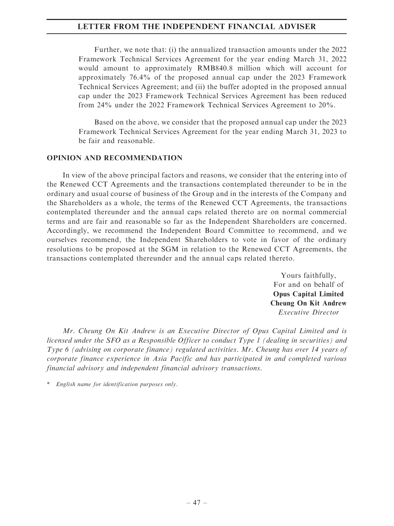Further, we note that: (i) the annualized transaction amounts under the 2022 Framework Technical Services Agreement for the year ending March 31, 2022 would amount to approximately RMB840.8 million which will account for approximately 76.4% of the proposed annual cap under the 2023 Framework Technical Services Agreement; and (ii) the buffer adopted in the proposed annual cap under the 2023 Framework Technical Services Agreement has been reduced from 24% under the 2022 Framework Technical Services Agreement to 20%.

Based on the above, we consider that the proposed annual cap under the 2023 Framework Technical Services Agreement for the year ending March 31, 2023 to be fair and reasonable.

#### OPINION AND RECOMMENDATION

In view of the above principal factors and reasons, we consider that the entering into of the Renewed CCT Agreements and the transactions contemplated thereunder to be in the ordinary and usual course of business of the Group and in the interests of the Company and the Shareholders as a whole, the terms of the Renewed CCT Agreements, the transactions contemplated thereunder and the annual caps related thereto are on normal commercial terms and are fair and reasonable so far as the Independent Shareholders are concerned. Accordingly, we recommend the Independent Board Committee to recommend, and we ourselves recommend, the Independent Shareholders to vote in favor of the ordinary resolutions to be proposed at the SGM in relation to the Renewed CCT Agreements, the transactions contemplated thereunder and the annual caps related thereto.

> Yours faithfully, For and on behalf of Opus Capital Limited Cheung On Kit Andrew Executive Director

Mr. Cheung On Kit Andrew is an Executive Director of Opus Capital Limited and is licensed under the SFO as a Responsible Officer to conduct Type 1 (dealing in securities) and Type 6 (advising on corporate finance) regulated activities. Mr. Cheung has over 14 years of corporate finance experience in Asia Pacific and has participated in and completed various financial advisory and independent financial advisory transactions.

\* English name for identification purposes only.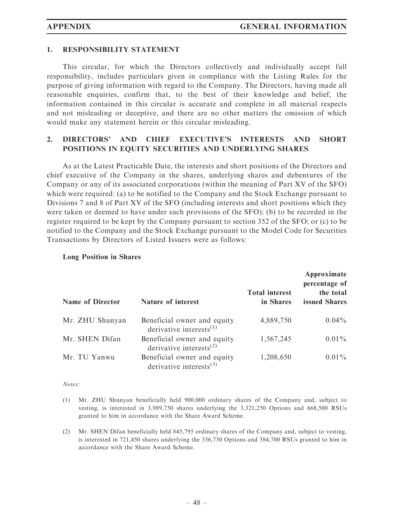#### 1. RESPONSIBILITY STATEMENT

This circular, for which the Directors collectively and individually accept full responsibility, includes particulars given in compliance with the Listing Rules for the purpose of giving information with regard to the Company. The Directors, having made all reasonable enquiries, confirm that, to the best of their knowledge and belief, the information contained in this circular is accurate and complete in all material respects and not misleading or deceptive, and there are no other matters the omission of which would make any statement herein or this circular misleading.

## 2. DIRECTORS' AND CHIEF EXECUTIVE'S INTERESTS AND SHORT POSITIONS IN EQUITY SECURITIES AND UNDERLYING SHARES

As at the Latest Practicable Date, the interests and short positions of the Directors and chief executive of the Company in the shares, underlying shares and debentures of the Company or any of its associated corporations (within the meaning of Part XV of the SFO) which were required: (a) to be notified to the Company and the Stock Exchange pursuant to Divisions 7 and 8 of Part XV of the SFO (including interests and short positions which they were taken or deemed to have under such provisions of the SFO); (b) to be recorded in the register required to be kept by the Company pursuant to section 352 of the SFO; or (c) to be notified to the Company and the Stock Exchange pursuant to the Model Code for Securities Transactions by Directors of Listed Issuers were as follows:

| <b>Name of Director</b> | <b>Nature of interest</b>                                                       | <b>Total interest</b><br>in Shares | Approximate<br>percentage of<br>the total<br>issued Shares |
|-------------------------|---------------------------------------------------------------------------------|------------------------------------|------------------------------------------------------------|
| Mr. ZHU Shunyan         | Beneficial owner and equity<br>derivative interests $^{(1)}$                    | 4,889,750                          | $0.04\%$                                                   |
| Mr. SHEN Difan          | Beneficial owner and equity<br>derivative interests <sup><math>(2)</math></sup> | 1,567,245                          | $0.01\%$                                                   |
| Mr. TU Yanwu            | Beneficial owner and equity<br>derivative interests $^{(3)}$                    | 1,208,650                          | $0.01\%$                                                   |

#### Long Position in Shares

Notes:

- (1) Mr. ZHU Shunyan beneficially held 900,000 ordinary shares of the Company and, subject to vesting, is interested in 3,989,750 shares underlying the 3,321,250 Options and 668,500 RSUs granted to him in accordance with the Share Award Scheme.
- (2) Mr. SHEN Difan beneficially held 845,795 ordinary shares of the Company and, subject to vesting, is interested in 721,450 shares underlying the 336,750 Options and 384,700 RSUs granted to him in accordance with the Share Award Scheme.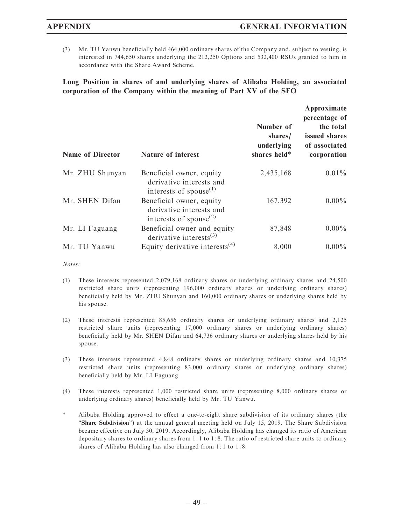(3) Mr. TU Yanwu beneficially held 464,000 ordinary shares of the Company and, subject to vesting, is interested in 744,650 shares underlying the 212,250 Options and 532,400 RSUs granted to him in accordance with the Share Award Scheme.

Long Position in shares of and underlying shares of Alibaba Holding, an associated corporation of the Company within the meaning of Part XV of the SFO

| <b>Name of Director</b> | <b>Nature of interest</b>                                                                               | Number of<br>shares/<br>underlying<br>shares held* | Approximate<br>percentage of<br>the total<br>issued shares<br>of associated<br>corporation |
|-------------------------|---------------------------------------------------------------------------------------------------------|----------------------------------------------------|--------------------------------------------------------------------------------------------|
|                         |                                                                                                         |                                                    |                                                                                            |
| Mr. ZHU Shunyan         | Beneficial owner, equity<br>derivative interests and<br>interests of spouse $^{(1)}$                    | 2,435,168                                          | $0.01\%$                                                                                   |
| Mr. SHEN Difan          | Beneficial owner, equity<br>derivative interests and<br>interests of spouse <sup><math>(2)</math></sup> | 167,392                                            | $0.00\%$                                                                                   |
| Mr. LI Faguang          | Beneficial owner and equity<br>derivative interests $^{(3)}$                                            | 87,848                                             | $0.00\%$                                                                                   |
| Mr. TU Yanwu            | Equity derivative interests <sup>(4)</sup>                                                              | 8,000                                              | $0.00\%$                                                                                   |

Notes:

- (1) These interests represented 2,079,168 ordinary shares or underlying ordinary shares and 24,500 restricted share units (representing 196,000 ordinary shares or underlying ordinary shares) beneficially held by Mr. ZHU Shunyan and 160,000 ordinary shares or underlying shares held by his spouse.
- (2) These interests represented 85,656 ordinary shares or underlying ordinary shares and 2,125 restricted share units (representing 17,000 ordinary shares or underlying ordinary shares) beneficially held by Mr. SHEN Difan and 64,736 ordinary shares or underlying shares held by his spouse.
- (3) These interests represented 4,848 ordinary shares or underlying ordinary shares and 10,375 restricted share units (representing 83,000 ordinary shares or underlying ordinary shares) beneficially held by Mr. LI Faguang.
- (4) These interests represented 1,000 restricted share units (representing 8,000 ordinary shares or underlying ordinary shares) beneficially held by Mr. TU Yanwu.
- Alibaba Holding approved to effect a one-to-eight share subdivision of its ordinary shares (the ''Share Subdivision'') at the annual general meeting held on July 15, 2019. The Share Subdivision became effective on July 30, 2019. Accordingly, Alibaba Holding has changed its ratio of American depositary shares to ordinary shares from 1: 1 to 1 : 8. The ratio of restricted share units to ordinary shares of Alibaba Holding has also changed from 1: 1 to 1: 8.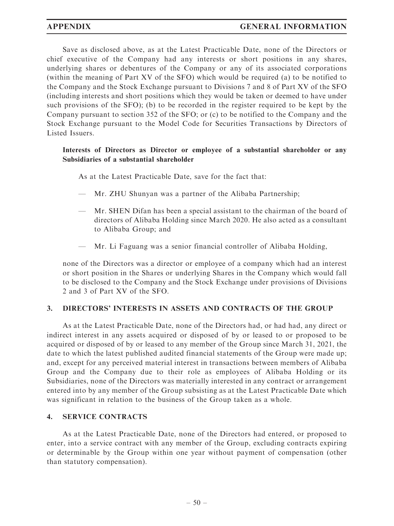Save as disclosed above, as at the Latest Practicable Date, none of the Directors or chief executive of the Company had any interests or short positions in any shares, underlying shares or debentures of the Company or any of its associated corporations (within the meaning of Part XV of the SFO) which would be required (a) to be notified to the Company and the Stock Exchange pursuant to Divisions 7 and 8 of Part XV of the SFO (including interests and short positions which they would be taken or deemed to have under such provisions of the SFO); (b) to be recorded in the register required to be kept by the Company pursuant to section 352 of the SFO; or (c) to be notified to the Company and the Stock Exchange pursuant to the Model Code for Securities Transactions by Directors of Listed Issuers.

## Interests of Directors as Director or employee of a substantial shareholder or any Subsidiaries of a substantial shareholder

As at the Latest Practicable Date, save for the fact that:

- Mr. ZHU Shunyan was a partner of the Alibaba Partnership;
- Mr. SHEN Difan has been a special assistant to the chairman of the board of directors of Alibaba Holding since March 2020. He also acted as a consultant to Alibaba Group; and
- Mr. Li Faguang was a senior financial controller of Alibaba Holding,

none of the Directors was a director or employee of a company which had an interest or short position in the Shares or underlying Shares in the Company which would fall to be disclosed to the Company and the Stock Exchange under provisions of Divisions 2 and 3 of Part XV of the SFO.

## 3. DIRECTORS' INTERESTS IN ASSETS AND CONTRACTS OF THE GROUP

As at the Latest Practicable Date, none of the Directors had, or had had, any direct or indirect interest in any assets acquired or disposed of by or leased to or proposed to be acquired or disposed of by or leased to any member of the Group since March 31, 2021, the date to which the latest published audited financial statements of the Group were made up; and, except for any perceived material interest in transactions between members of Alibaba Group and the Company due to their role as employees of Alibaba Holding or its Subsidiaries, none of the Directors was materially interested in any contract or arrangement entered into by any member of the Group subsisting as at the Latest Practicable Date which was significant in relation to the business of the Group taken as a whole.

## 4. SERVICE CONTRACTS

As at the Latest Practicable Date, none of the Directors had entered, or proposed to enter, into a service contract with any member of the Group, excluding contracts expiring or determinable by the Group within one year without payment of compensation (other than statutory compensation).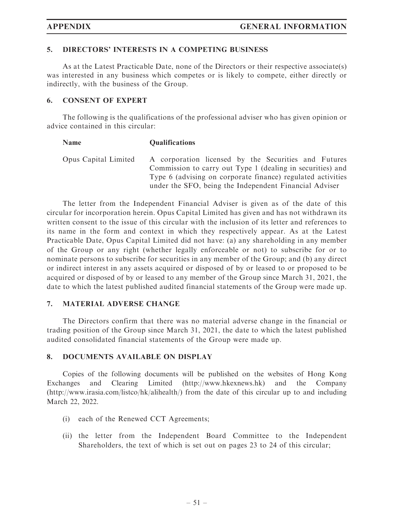#### 5. DIRECTORS' INTERESTS IN A COMPETING BUSINESS

As at the Latest Practicable Date, none of the Directors or their respective associate(s) was interested in any business which competes or is likely to compete, either directly or indirectly, with the business of the Group.

#### 6. CONSENT OF EXPERT

The following is the qualifications of the professional adviser who has given opinion or advice contained in this circular:

| <b>Qualifications</b>                                                                                                                                                                                                                       |
|---------------------------------------------------------------------------------------------------------------------------------------------------------------------------------------------------------------------------------------------|
| A corporation licensed by the Securities and Futures<br>Commission to carry out Type 1 (dealing in securities) and<br>Type 6 (advising on corporate finance) regulated activities<br>under the SFO, being the Independent Financial Adviser |
|                                                                                                                                                                                                                                             |

The letter from the Independent Financial Adviser is given as of the date of this circular for incorporation herein. Opus Capital Limited has given and has not withdrawn its written consent to the issue of this circular with the inclusion of its letter and references to its name in the form and context in which they respectively appear. As at the Latest Practicable Date, Opus Capital Limited did not have: (a) any shareholding in any member of the Group or any right (whether legally enforceable or not) to subscribe for or to nominate persons to subscribe for securities in any member of the Group; and (b) any direct or indirect interest in any assets acquired or disposed of by or leased to or proposed to be acquired or disposed of by or leased to any member of the Group since March 31, 2021, the date to which the latest published audited financial statements of the Group were made up.

#### 7. MATERIAL ADVERSE CHANGE

The Directors confirm that there was no material adverse change in the financial or trading position of the Group since March 31, 2021, the date to which the latest published audited consolidated financial statements of the Group were made up.

#### 8. DOCUMENTS AVAILABLE ON DISPLAY

Copies of the following documents will be published on the websites of Hong Kong Exchanges and Clearing Limited (http://www.hkexnews.hk) and the Company (http://www.irasia.com/listco/hk/alihealth/) from the date of this circular up to and including March 22, 2022.

- (i) each of the Renewed CCT Agreements;
- (ii) the letter from the Independent Board Committee to the Independent Shareholders, the text of which is set out on pages 23 to 24 of this circular;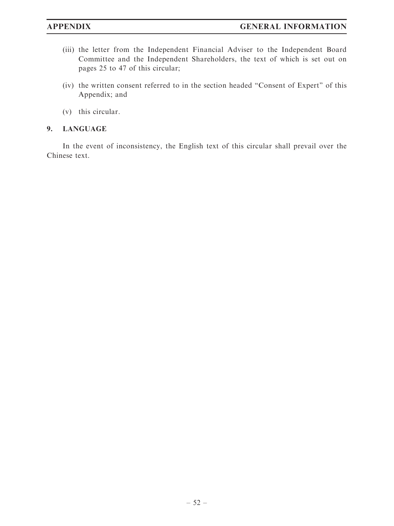- (iii) the letter from the Independent Financial Adviser to the Independent Board Committee and the Independent Shareholders, the text of which is set out on pages 25 to 47 of this circular;
- (iv) the written consent referred to in the section headed ''Consent of Expert'' of this Appendix; and
- (v) this circular.

## 9. LANGUAGE

In the event of inconsistency, the English text of this circular shall prevail over the Chinese text.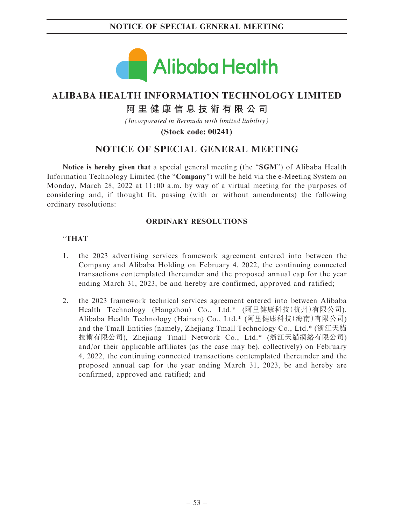

# **ALIBABA HEALTH INFORMATION TECHNOLOGY LIMITED**

# **阿里健康信息技術有限公司**

*(Incorporated in Bermuda with limited liability)*

**(Stock code: 00241)**

# NOTICE OF SPECIAL GENERAL MEETING

Notice is hereby given that a special general meeting (the "SGM") of Alibaba Health Information Technology Limited (the "Company") will be held via the e-Meeting System on Monday, March 28, 2022 at 11: 00 a.m. by way of a virtual meeting for the purposes of considering and, if thought fit, passing (with or without amendments) the following ordinary resolutions:

#### ORDINARY RESOLUTIONS

## ''THAT

- 1. the 2023 advertising services framework agreement entered into between the Company and Alibaba Holding on February 4, 2022, the continuing connected transactions contemplated thereunder and the proposed annual cap for the year ending March 31, 2023, be and hereby are confirmed, approved and ratified;
- 2. the 2023 framework technical services agreement entered into between Alibaba Health Technology (Hangzhou) Co., Ltd.\* (阿里健康科技(杭州)有限公司), Alibaba Health Technology (Hainan) Co., Ltd.\* (阿里健康科技(海南)有限公司) and the Tmall Entities (namely, Zhejiang Tmall Technology Co., Ltd.\* (浙江天貓 技術有限公司), Zhejiang Tmall Network Co., Ltd.\* (浙江天貓網絡有限公司) and/or their applicable affiliates (as the case may be), collectively) on February 4, 2022, the continuing connected transactions contemplated thereunder and the proposed annual cap for the year ending March 31, 2023, be and hereby are confirmed, approved and ratified; and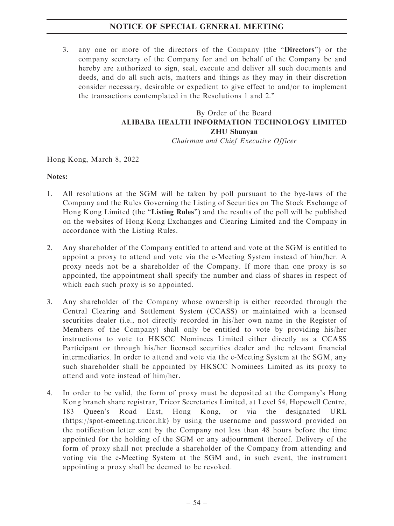## NOTICE OF SPECIAL GENERAL MEETING

3. any one or more of the directors of the Company (the ''Directors'') or the company secretary of the Company for and on behalf of the Company be and hereby are authorized to sign, seal, execute and deliver all such documents and deeds, and do all such acts, matters and things as they may in their discretion consider necessary, desirable or expedient to give effect to and/or to implement the transactions contemplated in the Resolutions 1 and 2.''

# By Order of the Board ALIBABA HEALTH INFORMATION TECHNOLOGY LIMITED ZHU Shunyan

Chairman and Chief Executive Officer

Hong Kong, March 8, 2022

#### Notes:

- 1. All resolutions at the SGM will be taken by poll pursuant to the bye-laws of the Company and the Rules Governing the Listing of Securities on The Stock Exchange of Hong Kong Limited (the "Listing Rules") and the results of the poll will be published on the websites of Hong Kong Exchanges and Clearing Limited and the Company in accordance with the Listing Rules.
- 2. Any shareholder of the Company entitled to attend and vote at the SGM is entitled to appoint a proxy to attend and vote via the e-Meeting System instead of him/her. A proxy needs not be a shareholder of the Company. If more than one proxy is so appointed, the appointment shall specify the number and class of shares in respect of which each such proxy is so appointed.
- 3. Any shareholder of the Company whose ownership is either recorded through the Central Clearing and Settlement System (CCASS) or maintained with a licensed securities dealer (i.e., not directly recorded in his/her own name in the Register of Members of the Company) shall only be entitled to vote by providing his/her instructions to vote to HKSCC Nominees Limited either directly as a CCASS Participant or through his/her licensed securities dealer and the relevant financial intermediaries. In order to attend and vote via the e-Meeting System at the SGM, any such shareholder shall be appointed by HKSCC Nominees Limited as its proxy to attend and vote instead of him/her.
- 4. In order to be valid, the form of proxy must be deposited at the Company's Hong Kong branch share registrar, Tricor Secretaries Limited, at Level 54, Hopewell Centre, 183 Queen's Road East, Hong Kong, or via the designated URL (https://spot-emeeting.tricor.hk) by using the username and password provided on the notification letter sent by the Company not less than 48 hours before the time appointed for the holding of the SGM or any adjournment thereof. Delivery of the form of proxy shall not preclude a shareholder of the Company from attending and voting via the e-Meeting System at the SGM and, in such event, the instrument appointing a proxy shall be deemed to be revoked.